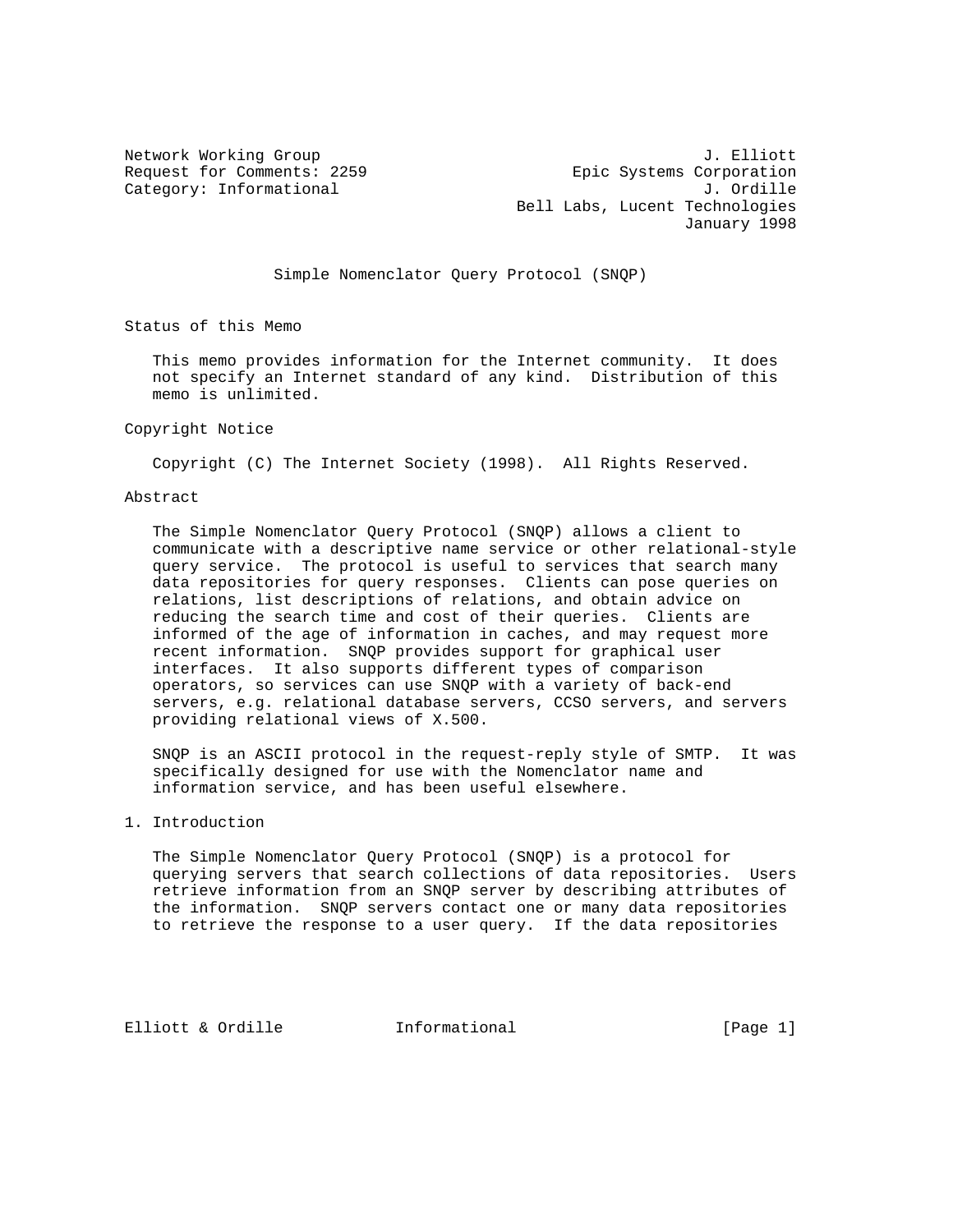Network Working Group 3. Elliott 3. All 1997 and 2. Elliott 3. Elliott 3. Elliott 3. Elliott 3. Elliott 3. Elliott 3. Elliott 3. Elliott 3. Elliott 3. Elliott 3. Elliott 3. Elliott 3. Elliott 3. Elliott 3. Elliott 3. Ellio Request for Comments: 2259 Epic Systems Corporation Category: Informational and J. Ordille Bell Labs, Lucent Technologies January 1998

Simple Nomenclator Query Protocol (SNQP)

Status of this Memo

 This memo provides information for the Internet community. It does not specify an Internet standard of any kind. Distribution of this memo is unlimited.

#### Copyright Notice

Copyright (C) The Internet Society (1998). All Rights Reserved.

### Abstract

 The Simple Nomenclator Query Protocol (SNQP) allows a client to communicate with a descriptive name service or other relational-style query service. The protocol is useful to services that search many data repositories for query responses. Clients can pose queries on relations, list descriptions of relations, and obtain advice on reducing the search time and cost of their queries. Clients are informed of the age of information in caches, and may request more recent information. SNQP provides support for graphical user interfaces. It also supports different types of comparison operators, so services can use SNQP with a variety of back-end servers, e.g. relational database servers, CCSO servers, and servers providing relational views of X.500.

 SNQP is an ASCII protocol in the request-reply style of SMTP. It was specifically designed for use with the Nomenclator name and information service, and has been useful elsewhere.

### 1. Introduction

 The Simple Nomenclator Query Protocol (SNQP) is a protocol for querying servers that search collections of data repositories. Users retrieve information from an SNQP server by describing attributes of the information. SNQP servers contact one or many data repositories to retrieve the response to a user query. If the data repositories

Elliott & Ordille **Informational** [Page 1]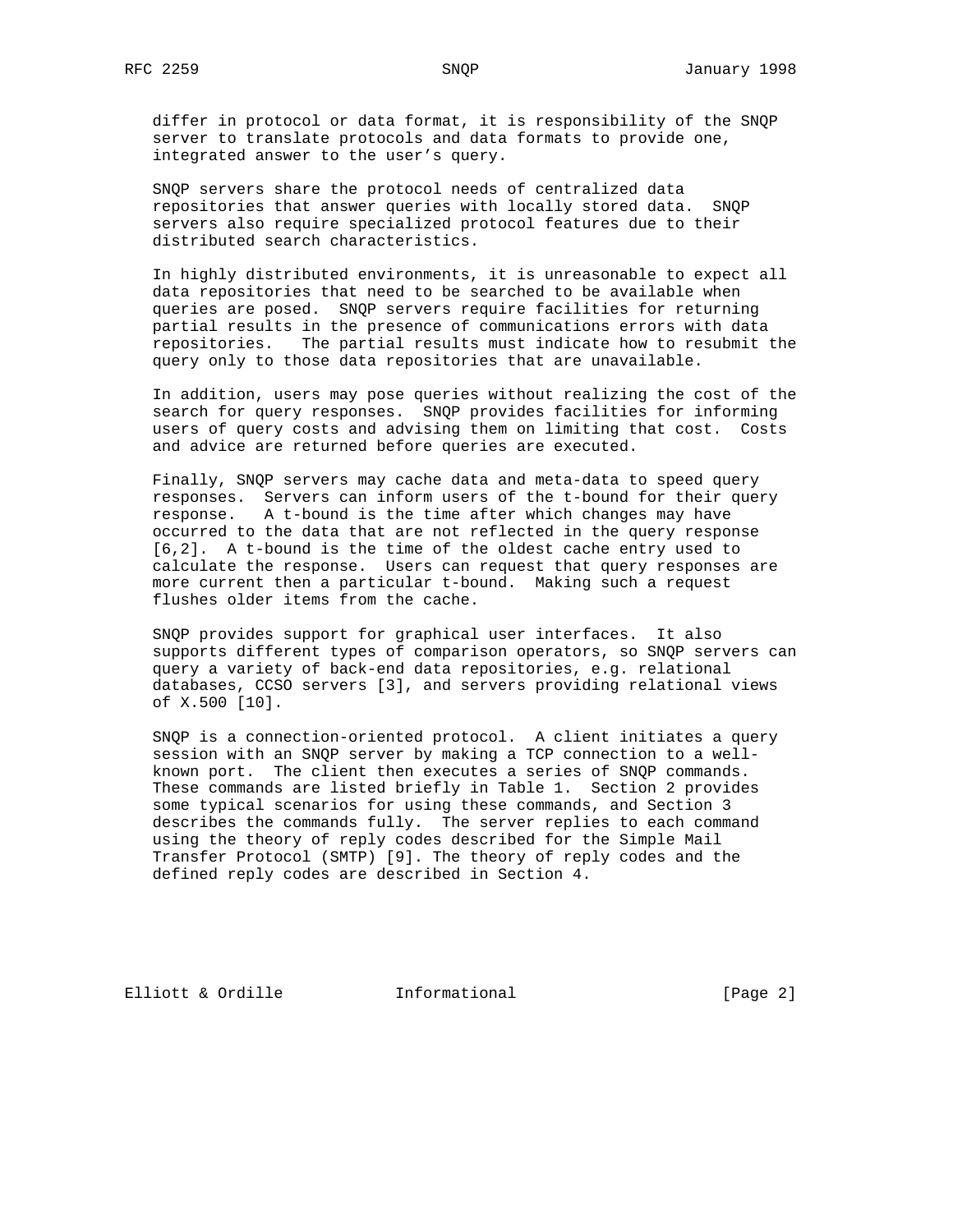differ in protocol or data format, it is responsibility of the SNQP server to translate protocols and data formats to provide one, integrated answer to the user's query.

 SNQP servers share the protocol needs of centralized data repositories that answer queries with locally stored data. SNQP servers also require specialized protocol features due to their distributed search characteristics.

 In highly distributed environments, it is unreasonable to expect all data repositories that need to be searched to be available when queries are posed. SNQP servers require facilities for returning partial results in the presence of communications errors with data repositories. The partial results must indicate how to resubmit the query only to those data repositories that are unavailable.

 In addition, users may pose queries without realizing the cost of the search for query responses. SNQP provides facilities for informing users of query costs and advising them on limiting that cost. Costs and advice are returned before queries are executed.

 Finally, SNQP servers may cache data and meta-data to speed query responses. Servers can inform users of the t-bound for their query response. A t-bound is the time after which changes may have occurred to the data that are not reflected in the query response [6,2]. A t-bound is the time of the oldest cache entry used to calculate the response. Users can request that query responses are more current then a particular t-bound. Making such a request flushes older items from the cache.

 SNQP provides support for graphical user interfaces. It also supports different types of comparison operators, so SNQP servers can query a variety of back-end data repositories, e.g. relational databases, CCSO servers [3], and servers providing relational views of X.500 [10].

 SNQP is a connection-oriented protocol. A client initiates a query session with an SNQP server by making a TCP connection to a well known port. The client then executes a series of SNQP commands. These commands are listed briefly in Table 1. Section 2 provides some typical scenarios for using these commands, and Section 3 describes the commands fully. The server replies to each command using the theory of reply codes described for the Simple Mail Transfer Protocol (SMTP) [9]. The theory of reply codes and the defined reply codes are described in Section 4.

Elliott & Ordille **Informational** [Page 2]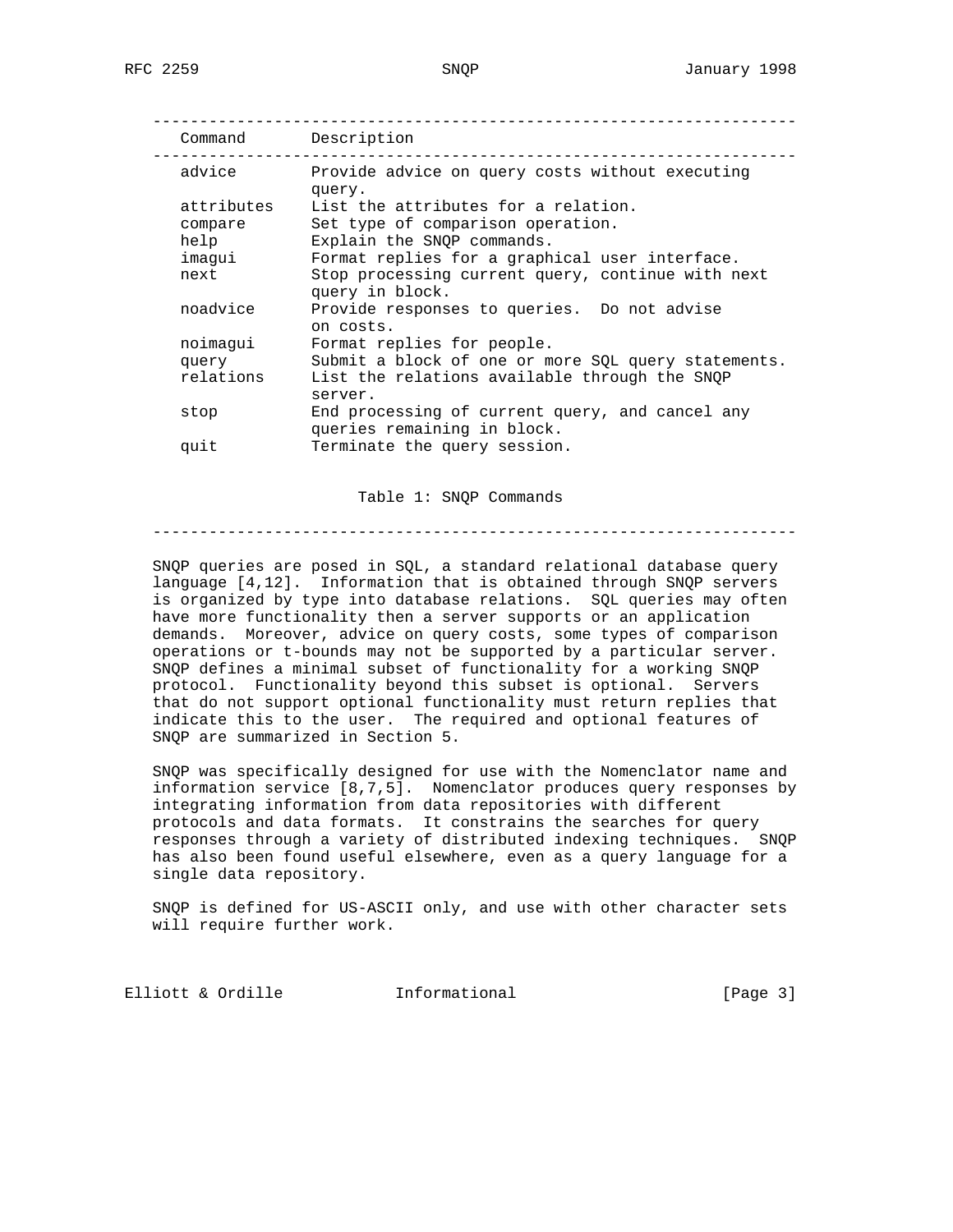| Command    | Description                                                         |
|------------|---------------------------------------------------------------------|
| advice     | Provide advice on query costs without executing<br>query.           |
| attributes | List the attributes for a relation.                                 |
| compare    | Set type of comparison operation.                                   |
| help       | Explain the SNOP commands.                                          |
| imaqui     | Format replies for a graphical user interface.                      |
| next       | Stop processing current query, continue with next<br>cuest in blook |

|           | ANSTA TII DIOCY'                                    |
|-----------|-----------------------------------------------------|
| noadvice  | Provide responses to queries. Do not advise         |
|           | on costs.                                           |
| noimaqui  | Format replies for people.                          |
| query     | Submit a block of one or more SQL query statements. |
| relations | List the relations available through the SNOP       |
|           | server.                                             |
| stop      | End processing of current query, and cancel any     |
|           | queries remaining in block.                         |
| quit      | Terminate the query session.                        |
|           |                                                     |

Table 1: SNQP Commands

---------------------------------------------------------------------

 SNQP queries are posed in SQL, a standard relational database query language [4,12]. Information that is obtained through SNQP servers is organized by type into database relations. SQL queries may often have more functionality then a server supports or an application demands. Moreover, advice on query costs, some types of comparison operations or t-bounds may not be supported by a particular server. SNQP defines a minimal subset of functionality for a working SNQP protocol. Functionality beyond this subset is optional. Servers that do not support optional functionality must return replies that indicate this to the user. The required and optional features of SNQP are summarized in Section 5.

 SNQP was specifically designed for use with the Nomenclator name and information service [8,7,5]. Nomenclator produces query responses by integrating information from data repositories with different protocols and data formats. It constrains the searches for query responses through a variety of distributed indexing techniques. SNQP has also been found useful elsewhere, even as a query language for a single data repository.

 SNQP is defined for US-ASCII only, and use with other character sets will require further work.

Elliott & Ordille **Informational** [Page 3]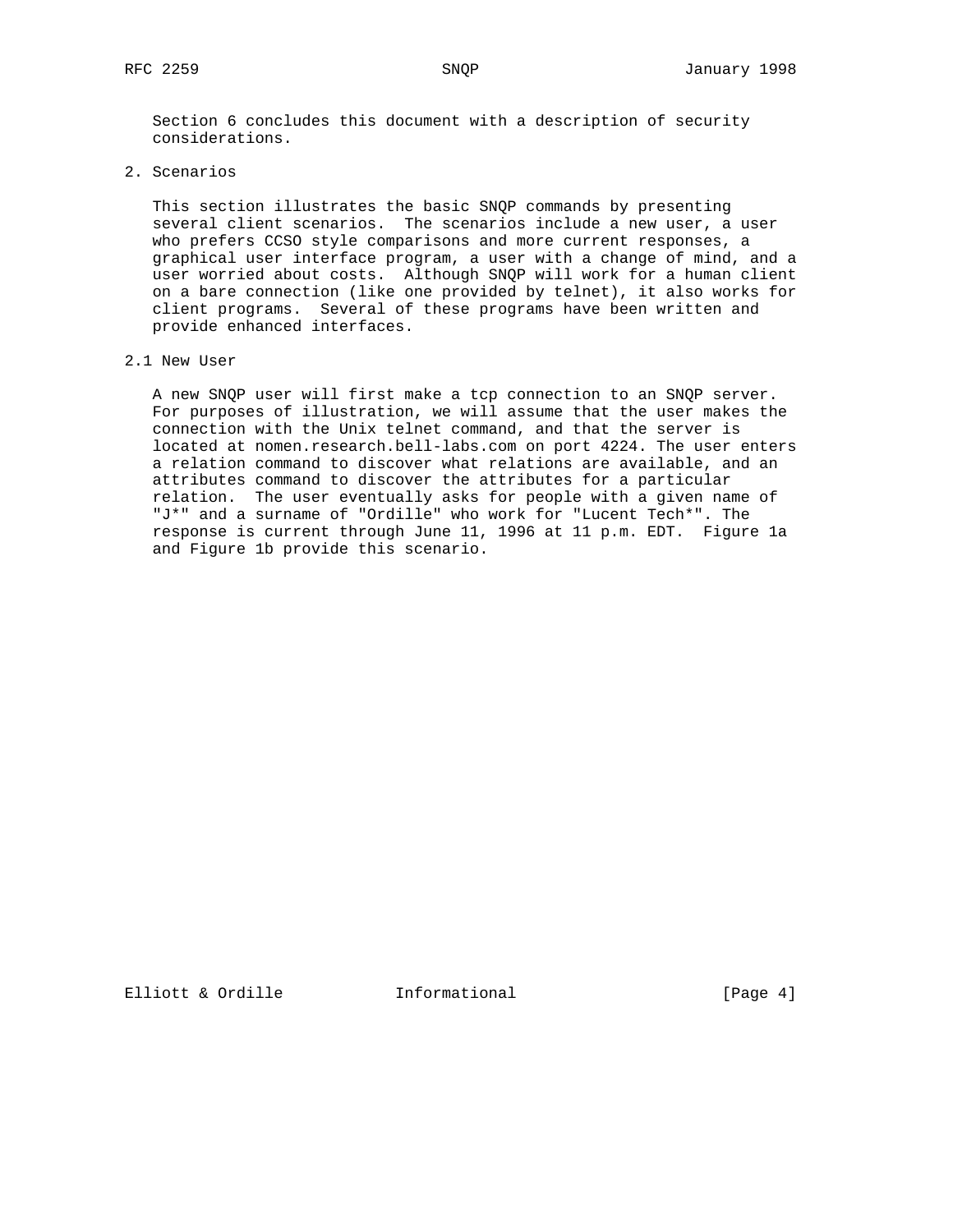Section 6 concludes this document with a description of security considerations.

2. Scenarios

 This section illustrates the basic SNQP commands by presenting several client scenarios. The scenarios include a new user, a user who prefers CCSO style comparisons and more current responses, a graphical user interface program, a user with a change of mind, and a user worried about costs. Although SNQP will work for a human client on a bare connection (like one provided by telnet), it also works for client programs. Several of these programs have been written and provide enhanced interfaces.

### 2.1 New User

 A new SNQP user will first make a tcp connection to an SNQP server. For purposes of illustration, we will assume that the user makes the connection with the Unix telnet command, and that the server is located at nomen.research.bell-labs.com on port 4224. The user enters a relation command to discover what relations are available, and an attributes command to discover the attributes for a particular relation. The user eventually asks for people with a given name of "J\*" and a surname of "Ordille" who work for "Lucent Tech\*". The response is current through June 11, 1996 at 11 p.m. EDT. Figure 1a and Figure 1b provide this scenario.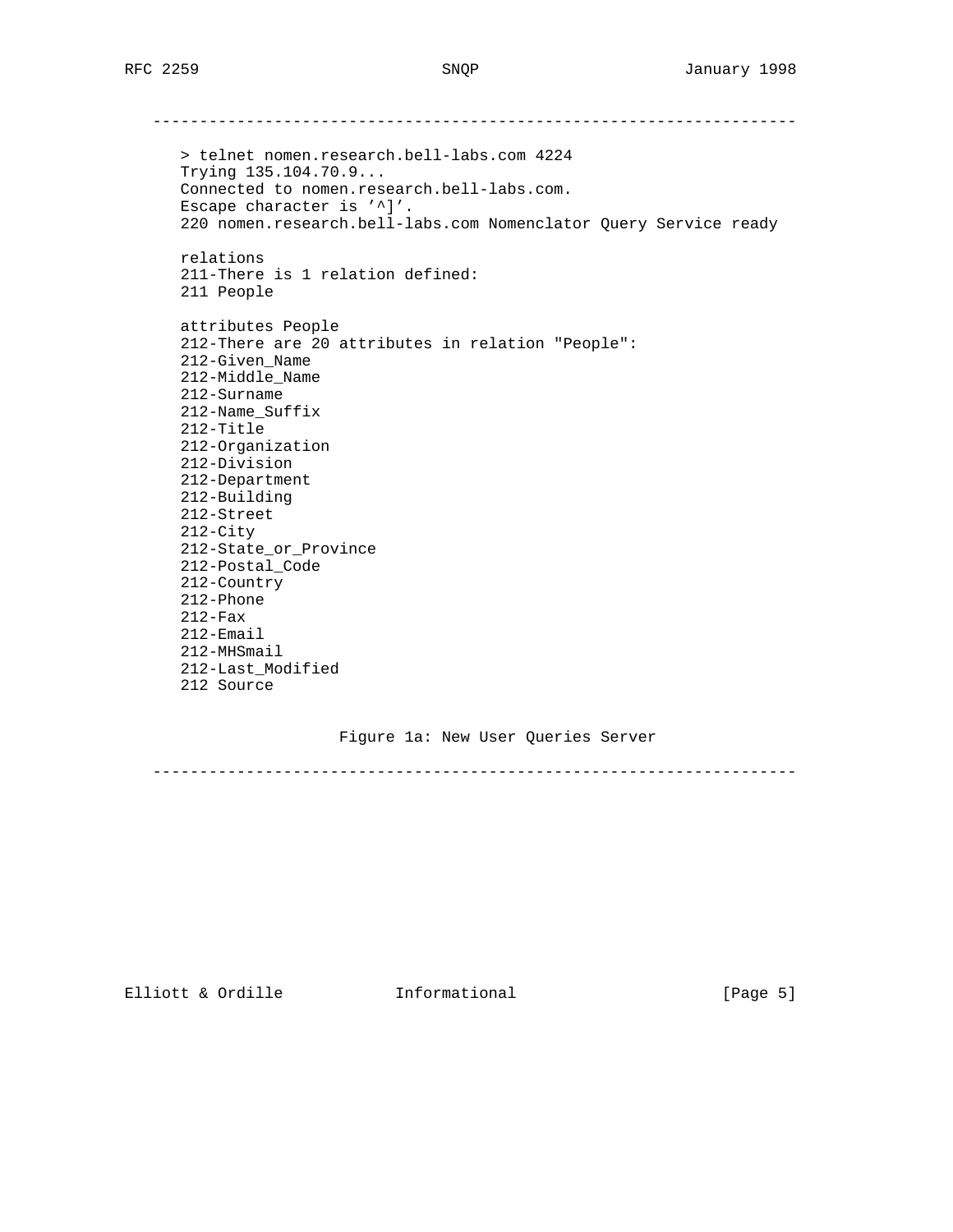--------------------------------------------------------------------- > telnet nomen.research.bell-labs.com 4224 Trying 135.104.70.9... Connected to nomen.research.bell-labs.com. Escape character is '^]'. 220 nomen.research.bell-labs.com Nomenclator Query Service ready relations 211-There is 1 relation defined: 211 People attributes People 212-There are 20 attributes in relation "People": 212-Given\_Name 212-Middle\_Name 212-Surname 212-Name\_Suffix 212-Title 212-Organization 212-Division 212-Department 212-Building 212-Street 212-City 212-State\_or\_Province 212-Postal\_Code 212-Country 212-Phone 212-Fax 212-Email 212-MHSmail 212-Last\_Modified 212 Source

## Figure 1a: New User Queries Server

---------------------------------------------------------------------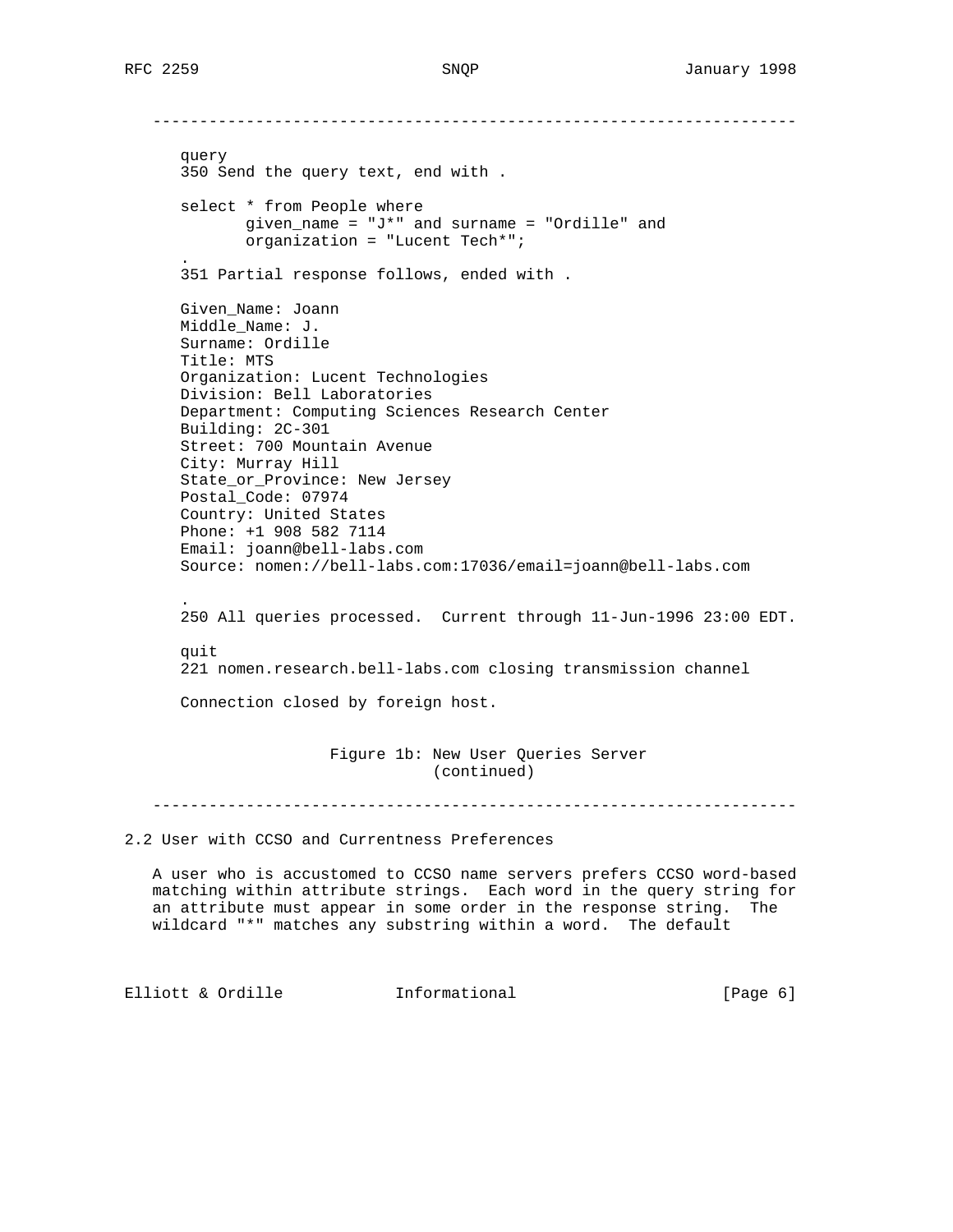-------------------------------------------------------------------- query 350 Send the query text, end with . select \* from People where given\_name = "J\*" and surname = "Ordille" and organization = "Lucent Tech\*"; . 351 Partial response follows, ended with . Given\_Name: Joann Middle\_Name: J. Surname: Ordille Title: MTS Organization: Lucent Technologies Division: Bell Laboratories Department: Computing Sciences Research Center Building: 2C-301 Street: 700 Mountain Avenue City: Murray Hill State\_or\_Province: New Jersey Postal\_Code: 07974 Country: United States Phone: +1 908 582 7114 Email: joann@bell-labs.com Source: nomen://bell-labs.com:17036/email=joann@bell-labs.com . 250 All queries processed. Current through 11-Jun-1996 23:00 EDT. quit 221 nomen.research.bell-labs.com closing transmission channel Connection closed by foreign host. Figure 1b: New User Queries Server (continued)

---------------------------------------------------------------------

2.2 User with CCSO and Currentness Preferences

 A user who is accustomed to CCSO name servers prefers CCSO word-based matching within attribute strings. Each word in the query string for an attribute must appear in some order in the response string. The wildcard "\*" matches any substring within a word. The default

Elliott & Ordille **Informational** [Page 6]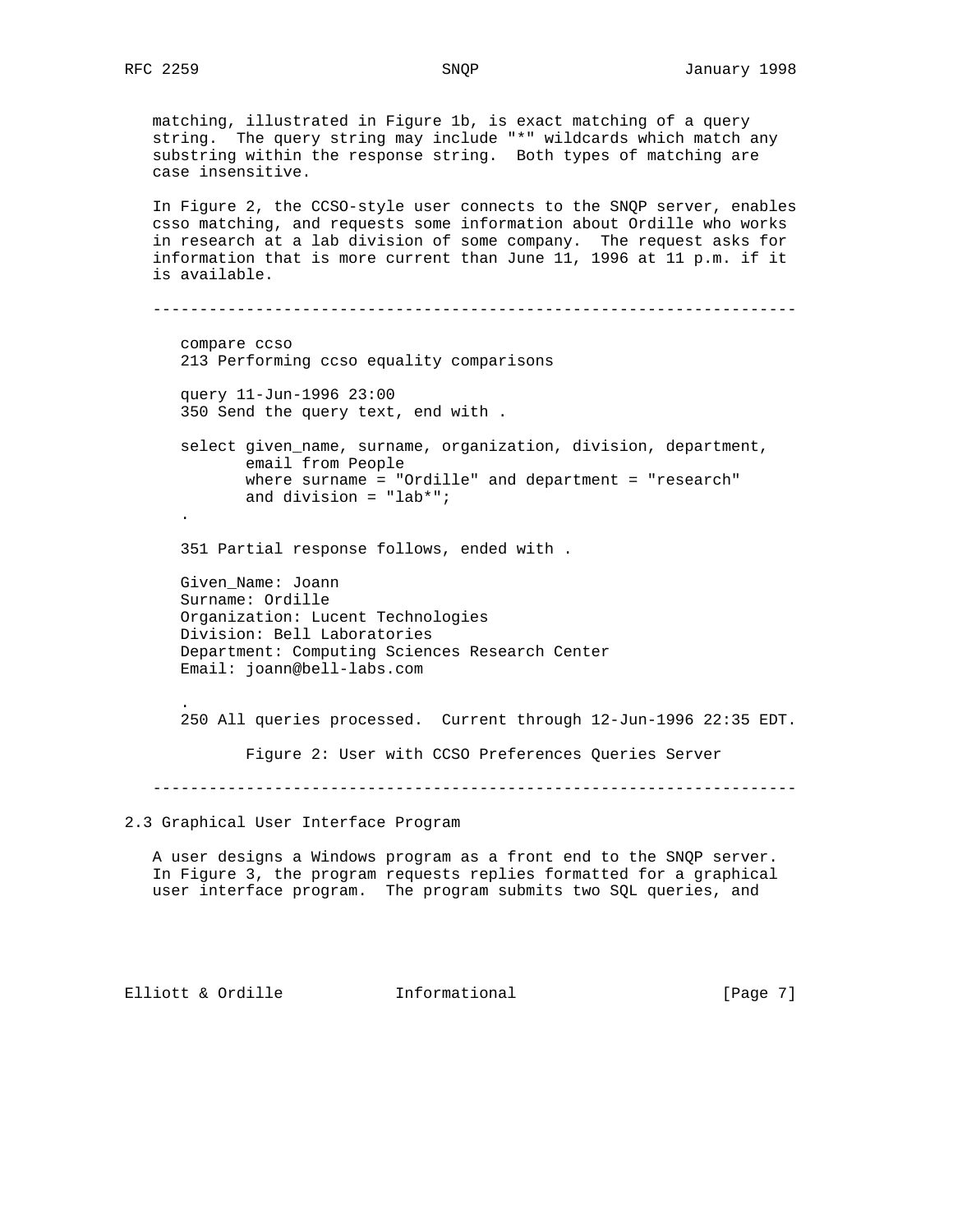matching, illustrated in Figure 1b, is exact matching of a query string. The query string may include "\*" wildcards which match any substring within the response string. Both types of matching are case insensitive. In Figure 2, the CCSO-style user connects to the SNQP server, enables

 csso matching, and requests some information about Ordille who works in research at a lab division of some company. The request asks for information that is more current than June 11, 1996 at 11 p.m. if it is available.

 -------------------------------------------------------------------- compare ccso 213 Performing ccso equality comparisons query 11-Jun-1996 23:00 350 Send the query text, end with . select given\_name, surname, organization, division, department, email from People where surname = "Ordille" and department = "research" and division = "lab\*"; . 351 Partial response follows, ended with . Given\_Name: Joann Surname: Ordille Organization: Lucent Technologies Division: Bell Laboratories Department: Computing Sciences Research Center Email: joann@bell-labs.com . 250 All queries processed. Current through 12-Jun-1996 22:35 EDT.

Figure 2: User with CCSO Preferences Queries Server

---------------------------------------------------------------------

2.3 Graphical User Interface Program

 A user designs a Windows program as a front end to the SNQP server. In Figure 3, the program requests replies formatted for a graphical user interface program. The program submits two SQL queries, and

Elliott & Ordille **Informational** [Page 7]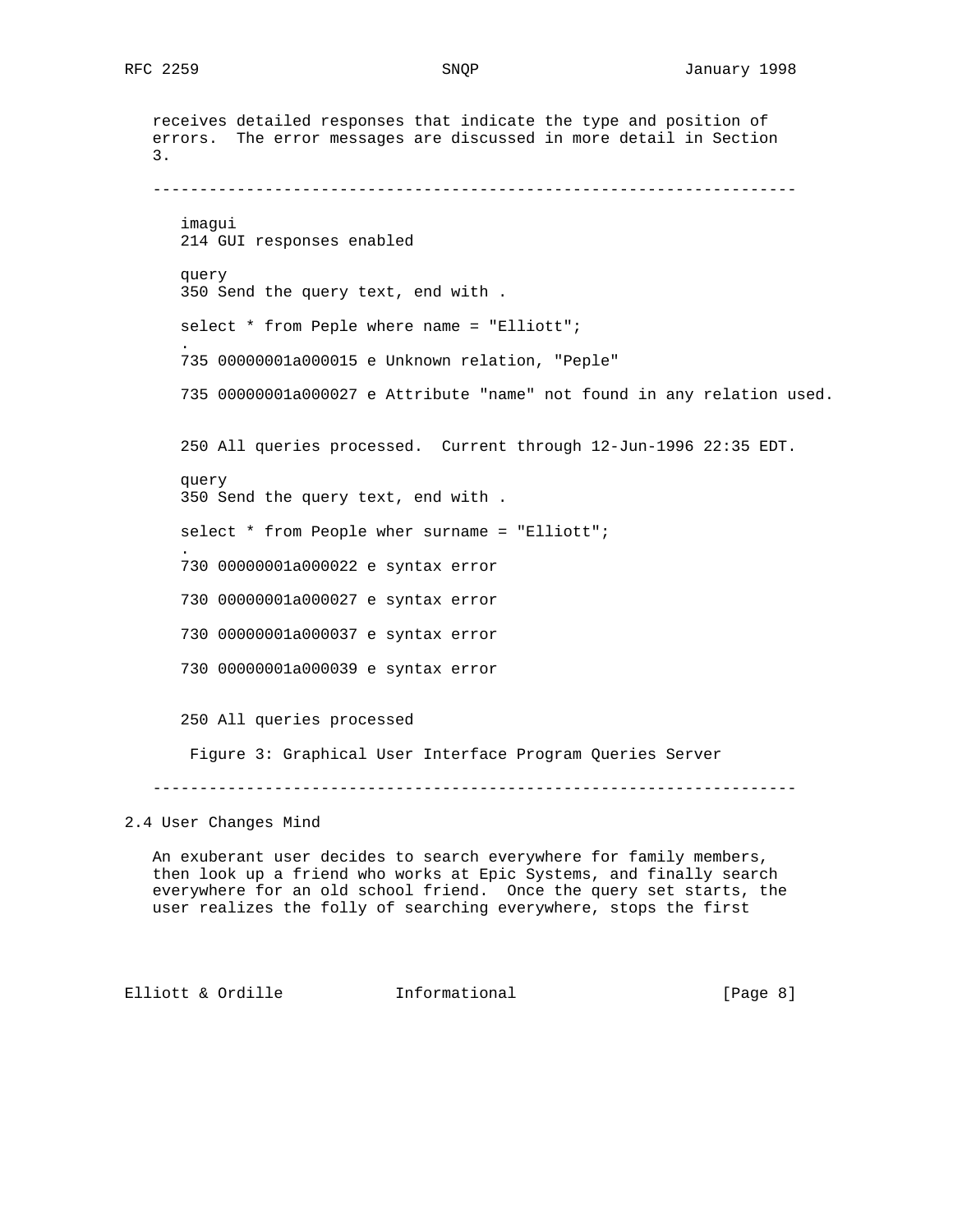```
 receives detailed responses that indicate the type and position of
    errors. The error messages are discussed in more detail in Section
    3.
    ---------------------------------------------------------------------
       imagui
       214 GUI responses enabled
      query
       350 Send the query text, end with .
      select * from Peple where name = "Elliott";
 .
       735 00000001a000015 e Unknown relation, "Peple"
       735 00000001a000027 e Attribute "name" not found in any relation used.
       250 All queries processed. Current through 12-Jun-1996 22:35 EDT.
       query
       350 Send the query text, end with .
     select * from People wher surname = "Elliott";
 .
       730 00000001a000022 e syntax error
      730 00000001a000027 e syntax error
       730 00000001a000037 e syntax error
       730 00000001a000039 e syntax error
       250 All queries processed
       Figure 3: Graphical User Interface Program Queries Server
    ---------------------------------------------------------------------
2.4 User Changes Mind
   An exuberant user decides to search everywhere for family members,
   then look up a friend who works at Epic Systems, and finally search
   everywhere for an old school friend. Once the query set starts, the
```
Elliott & Ordille **Informational** [Page 8]

user realizes the folly of searching everywhere, stops the first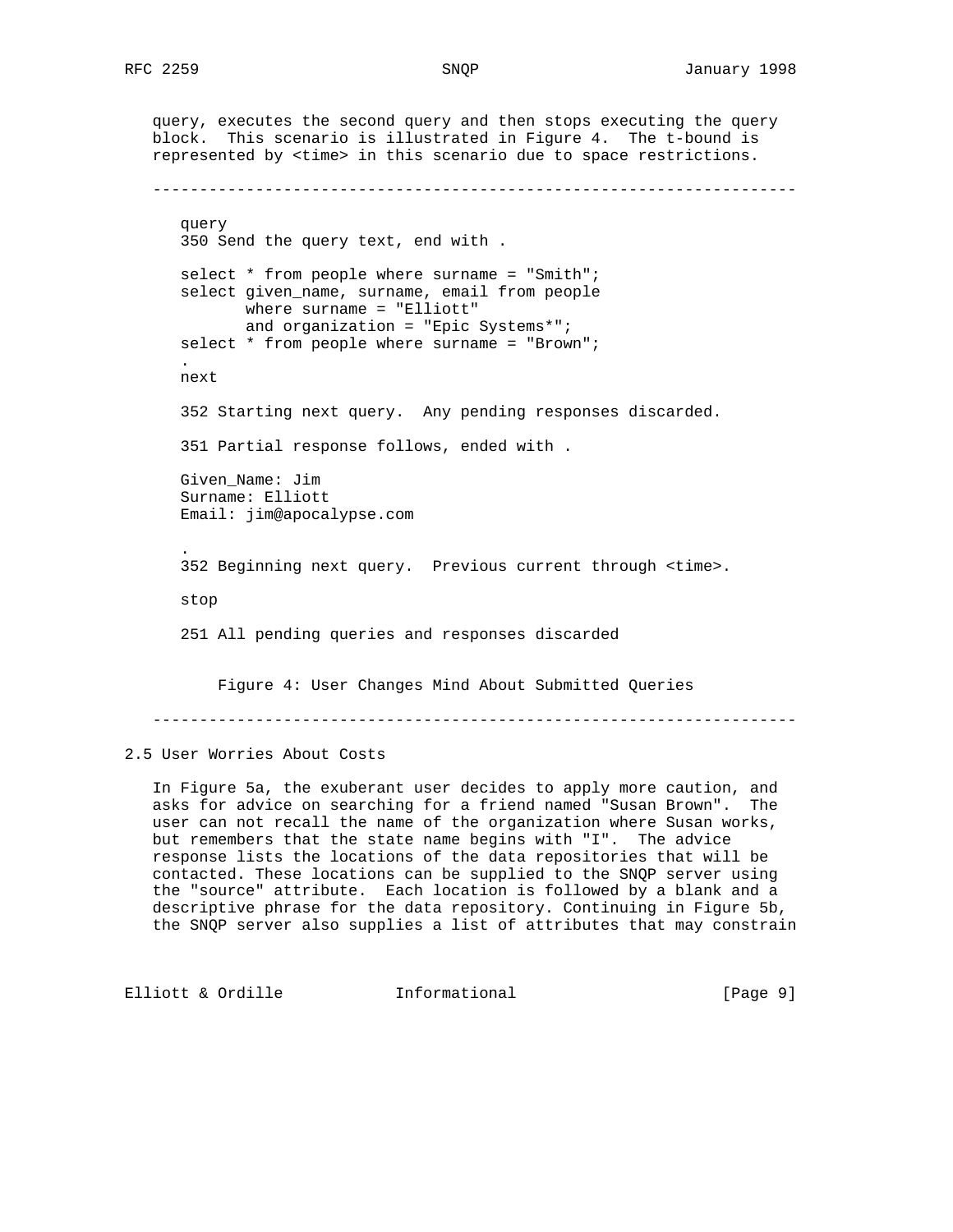query, executes the second query and then stops executing the query block. This scenario is illustrated in Figure 4. The t-bound is represented by <time> in this scenario due to space restrictions. -------------------------------------------------------------------- query 350 Send the query text, end with . select \* from people where surname = "Smith"; select given\_name, surname, email from people where surname = "Elliott" and organization = "Epic Systems\*"; select \* from people where surname = "Brown"; . next 352 Starting next query. Any pending responses discarded. 351 Partial response follows, ended with . Given\_Name: Jim Surname: Elliott Email: jim@apocalypse.com . 352 Beginning next query. Previous current through <time>. stop 251 All pending queries and responses discarded Figure 4: User Changes Mind About Submitted Queries ---------------------------------------------------------------------

2.5 User Worries About Costs

 In Figure 5a, the exuberant user decides to apply more caution, and asks for advice on searching for a friend named "Susan Brown". The user can not recall the name of the organization where Susan works, but remembers that the state name begins with "I". The advice response lists the locations of the data repositories that will be contacted. These locations can be supplied to the SNQP server using the "source" attribute. Each location is followed by a blank and a descriptive phrase for the data repository. Continuing in Figure 5b, the SNQP server also supplies a list of attributes that may constrain

Elliott & Ordille **Informational** [Page 9]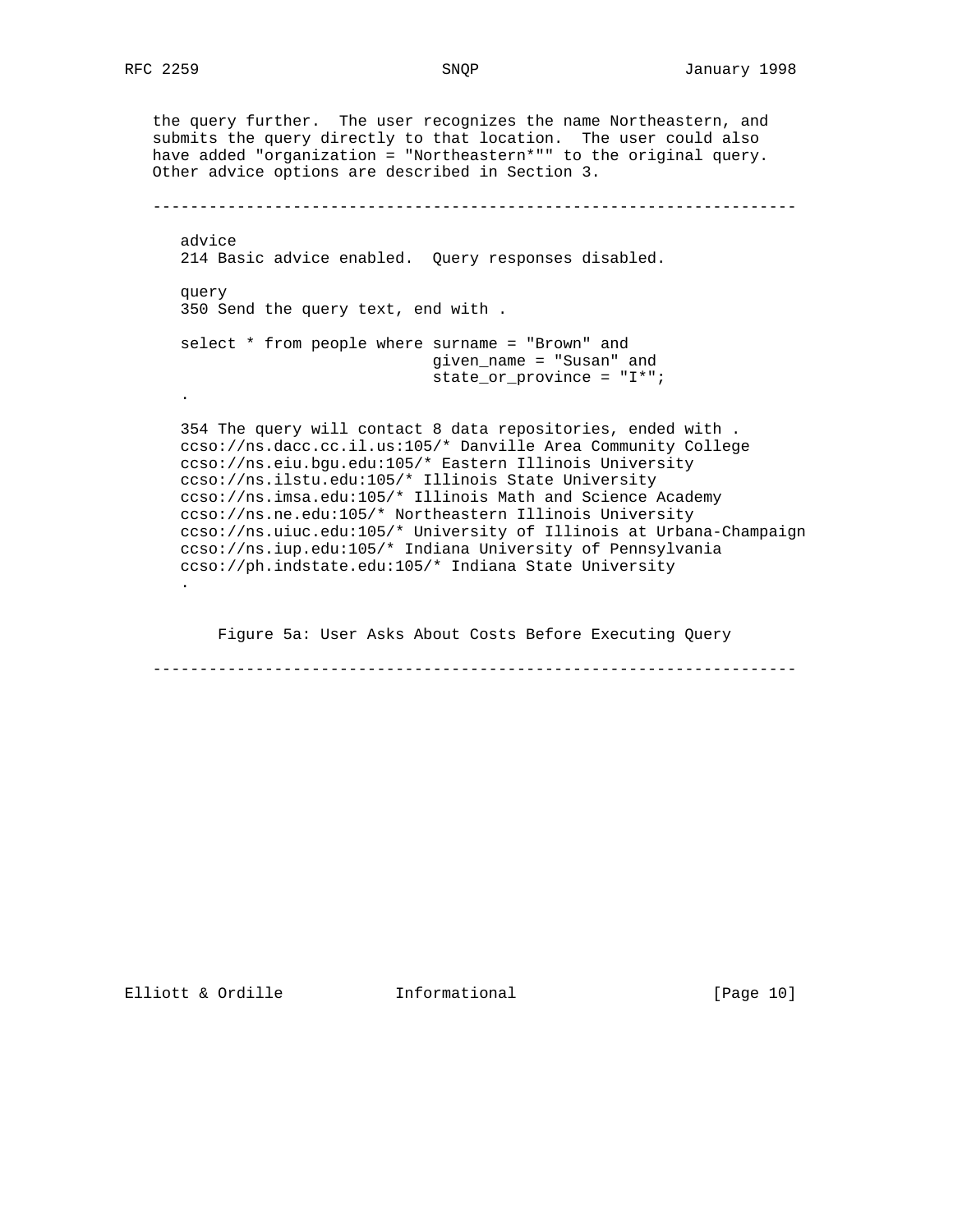the query further. The user recognizes the name Northeastern, and submits the query directly to that location. The user could also have added "organization = "Northeastern\*"" to the original query. Other advice options are described in Section 3.

```
 ---------------------------------------------------------------------
      advice
      214 Basic advice enabled. Query responses disabled.
      query
      350 Send the query text, end with .
      select * from people where surname = "Brown" and
                                 given_name = "Susan" and
                                  state_or_province = "I*";
 .
      354 The query will contact 8 data repositories, ended with .
      ccso://ns.dacc.cc.il.us:105/* Danville Area Community College
      ccso://ns.eiu.bgu.edu:105/* Eastern Illinois University
      ccso://ns.ilstu.edu:105/* Illinois State University
      ccso://ns.imsa.edu:105/* Illinois Math and Science Academy
      ccso://ns.ne.edu:105/* Northeastern Illinois University
      ccso://ns.uiuc.edu:105/* University of Illinois at Urbana-Champaign
      ccso://ns.iup.edu:105/* Indiana University of Pennsylvania
      ccso://ph.indstate.edu:105/* Indiana State University
      .
```
Figure 5a: User Asks About Costs Before Executing Query

---------------------------------------------------------------------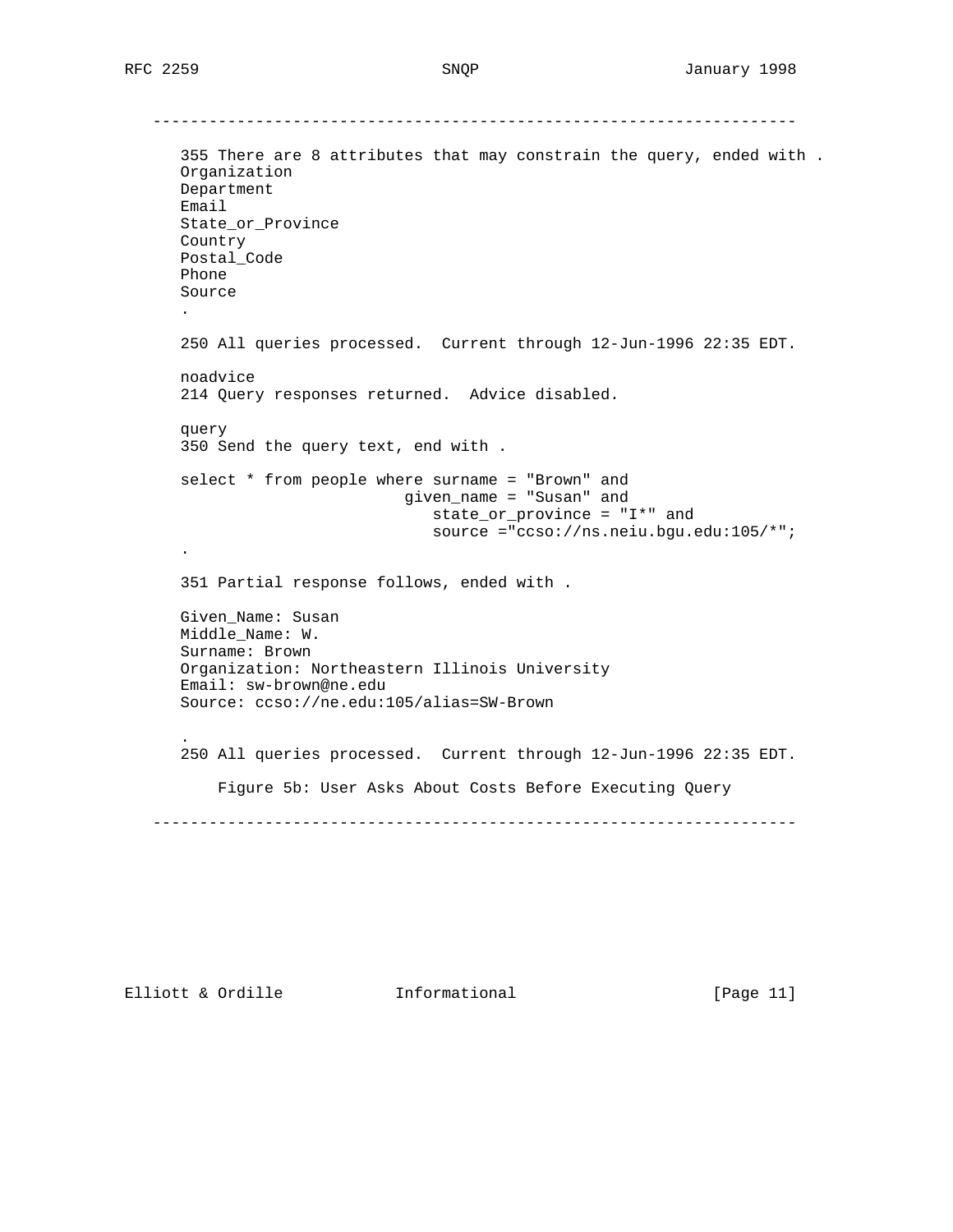--------------------------------------------------------------------- 355 There are 8 attributes that may constrain the query, ended with . Organization Department Email State\_or\_Province Country Postal\_Code Phone Source . 250 All queries processed. Current through 12-Jun-1996 22:35 EDT. noadvice 214 Query responses returned. Advice disabled. query 350 Send the query text, end with . select \* from people where surname = "Brown" and given\_name = "Susan" and state\_or\_province = "I\*" and source ="ccso://ns.neiu.bgu.edu:105/\*"; . 351 Partial response follows, ended with . Given\_Name: Susan Middle\_Name: W. Surname: Brown Organization: Northeastern Illinois University Email: sw-brown@ne.edu Source: ccso://ne.edu:105/alias=SW-Brown . 250 All queries processed. Current through 12-Jun-1996 22:35 EDT. Figure 5b: User Asks About Costs Before Executing Query ---------------------------------------------------------------------

Elliott & Ordille **Informational** [Page 11]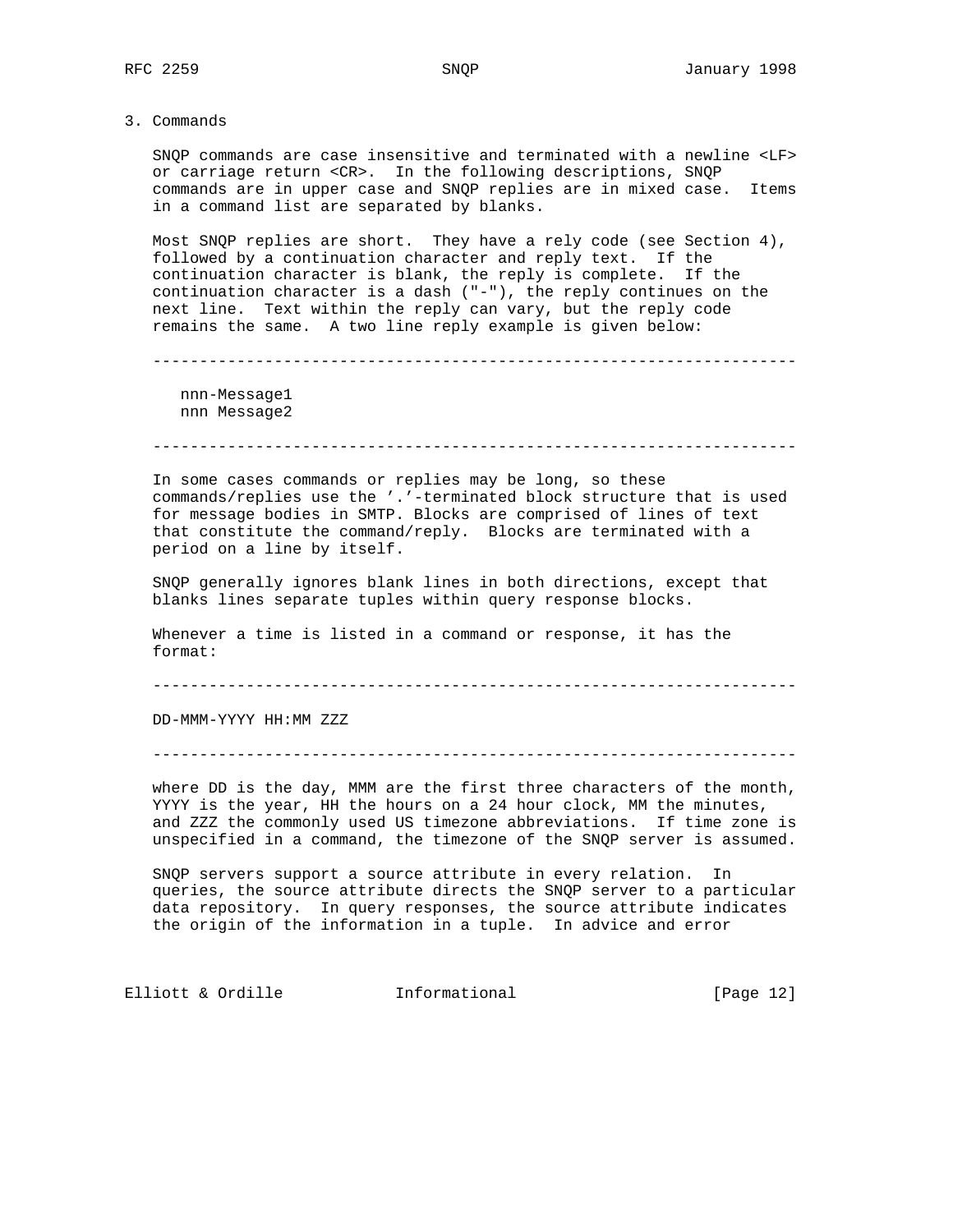3. Commands

 SNQP commands are case insensitive and terminated with a newline <LF> or carriage return <CR>. In the following descriptions, SNQP commands are in upper case and SNQP replies are in mixed case. Items in a command list are separated by blanks.

 Most SNQP replies are short. They have a rely code (see Section 4), followed by a continuation character and reply text. If the continuation character is blank, the reply is complete. If the continuation character is a dash ("-"), the reply continues on the next line. Text within the reply can vary, but the reply code remains the same. A two line reply example is given below:

---------------------------------------------------------------------

 nnn-Message1 nnn Message2

---------------------------------------------------------------------

 In some cases commands or replies may be long, so these commands/replies use the '.'-terminated block structure that is used for message bodies in SMTP. Blocks are comprised of lines of text that constitute the command/reply. Blocks are terminated with a period on a line by itself.

 SNQP generally ignores blank lines in both directions, except that blanks lines separate tuples within query response blocks.

 Whenever a time is listed in a command or response, it has the format:

---------------------------------------------------------------------

DD-MMM-YYYY HH:MM ZZZ

---------------------------------------------------------------------

 where DD is the day, MMM are the first three characters of the month, YYYY is the year, HH the hours on a 24 hour clock, MM the minutes, and ZZZ the commonly used US timezone abbreviations. If time zone is unspecified in a command, the timezone of the SNQP server is assumed.

 SNQP servers support a source attribute in every relation. In queries, the source attribute directs the SNQP server to a particular data repository. In query responses, the source attribute indicates the origin of the information in a tuple. In advice and error

Elliott & Ordille **Informational** [Page 12]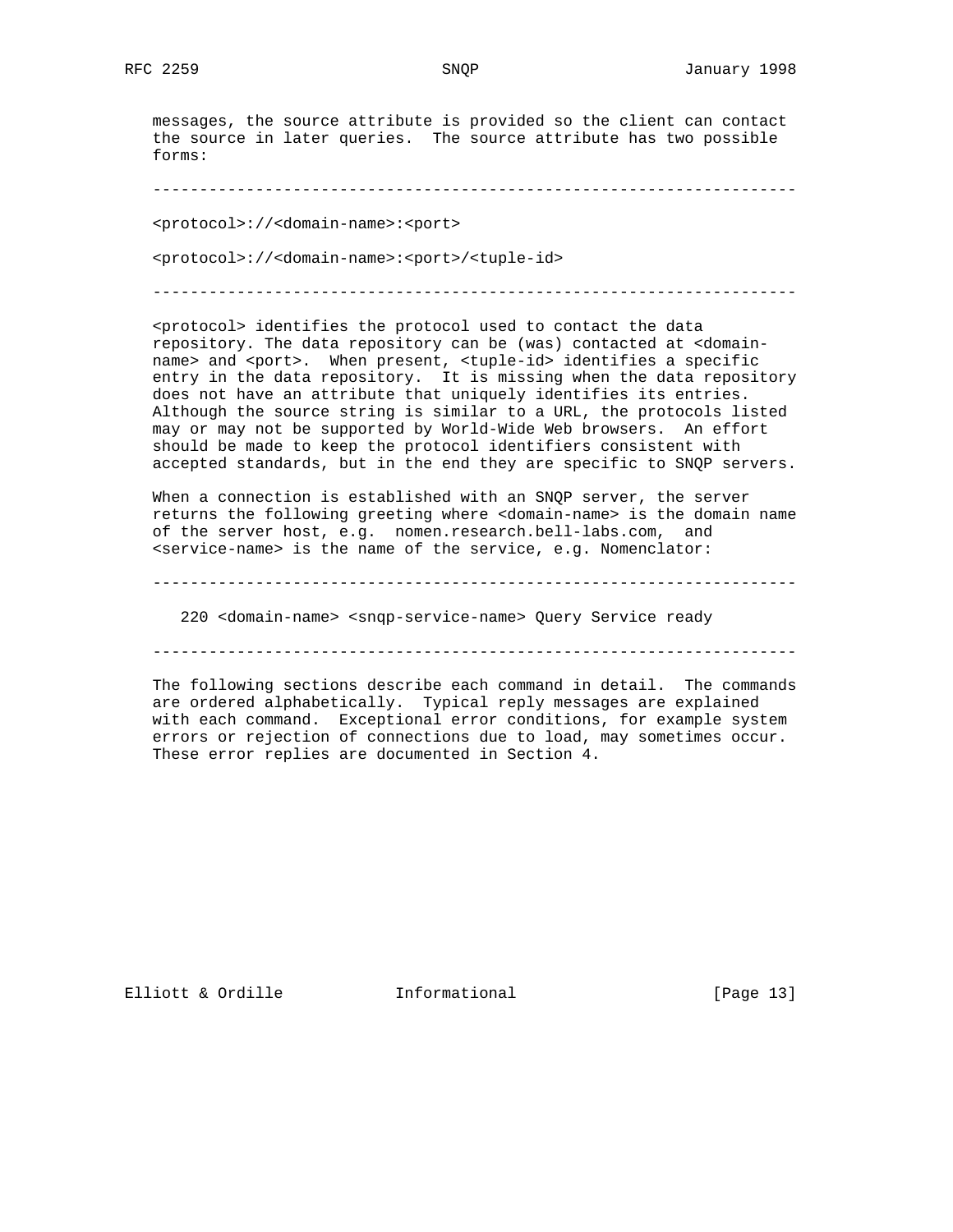messages, the source attribute is provided so the client can contact the source in later queries. The source attribute has two possible forms:

---------------------------------------------------------------------

<protocol>://<domain-name>:<port>

<protocol>://<domain-name>:<port>/<tuple-id>

---------------------------------------------------------------------

 <protocol> identifies the protocol used to contact the data repository. The data repository can be (was) contacted at <domain name> and <port>. When present, <tuple-id> identifies a specific entry in the data repository. It is missing when the data repository does not have an attribute that uniquely identifies its entries. Although the source string is similar to a URL, the protocols listed may or may not be supported by World-Wide Web browsers. An effort should be made to keep the protocol identifiers consistent with accepted standards, but in the end they are specific to SNQP servers.

 When a connection is established with an SNQP server, the server returns the following greeting where <domain-name> is the domain name of the server host, e.g. nomen.research.bell-labs.com, and  $s$ service-name> is the name of the service, e.g. Nomenclator:

---------------------------------------------------------------------

220 <domain-name> <snqp-service-name> Query Service ready

---------------------------------------------------------------------

 The following sections describe each command in detail. The commands are ordered alphabetically. Typical reply messages are explained with each command. Exceptional error conditions, for example system errors or rejection of connections due to load, may sometimes occur. These error replies are documented in Section 4.

Elliott & Ordille **Informational** [Page 13]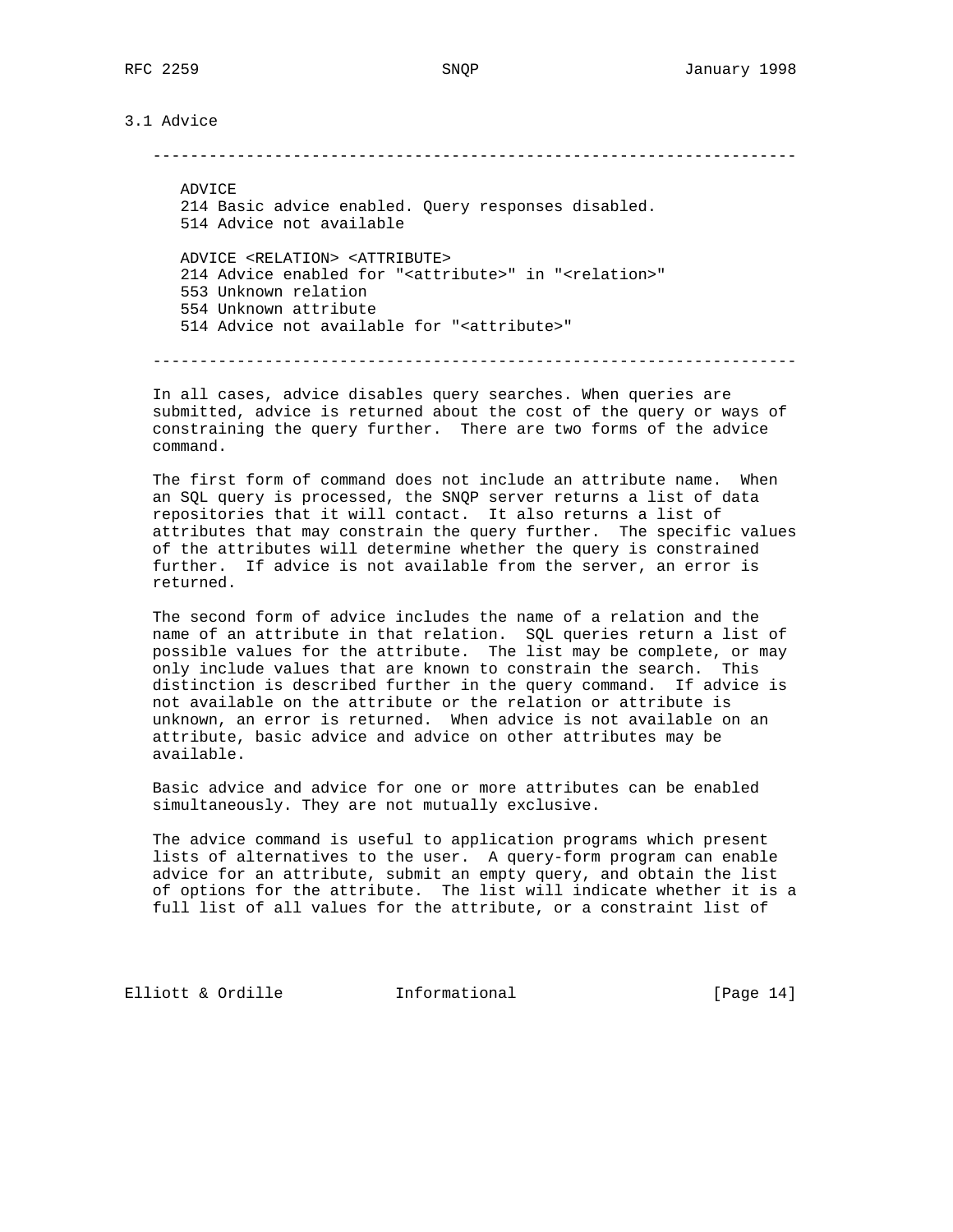3.1 Advice

---------------------------------------------------------------------

 ADVICE 214 Basic advice enabled. Query responses disabled. 514 Advice not available ADVICE <RELATION> <ATTRIBUTE> 214 Advice enabled for "<attribute>" in "<relation>" 553 Unknown relation 554 Unknown attribute 514 Advice not available for "<attribute>"

---------------------------------------------------------------------

 In all cases, advice disables query searches. When queries are submitted, advice is returned about the cost of the query or ways of constraining the query further. There are two forms of the advice command.

 The first form of command does not include an attribute name. When an SQL query is processed, the SNQP server returns a list of data repositories that it will contact. It also returns a list of attributes that may constrain the query further. The specific values of the attributes will determine whether the query is constrained further. If advice is not available from the server, an error is returned.

 The second form of advice includes the name of a relation and the name of an attribute in that relation. SQL queries return a list of possible values for the attribute. The list may be complete, or may only include values that are known to constrain the search. This distinction is described further in the query command. If advice is not available on the attribute or the relation or attribute is unknown, an error is returned. When advice is not available on an attribute, basic advice and advice on other attributes may be available.

 Basic advice and advice for one or more attributes can be enabled simultaneously. They are not mutually exclusive.

 The advice command is useful to application programs which present lists of alternatives to the user. A query-form program can enable advice for an attribute, submit an empty query, and obtain the list of options for the attribute. The list will indicate whether it is a full list of all values for the attribute, or a constraint list of

Elliott & Ordille **Informational** [Page 14]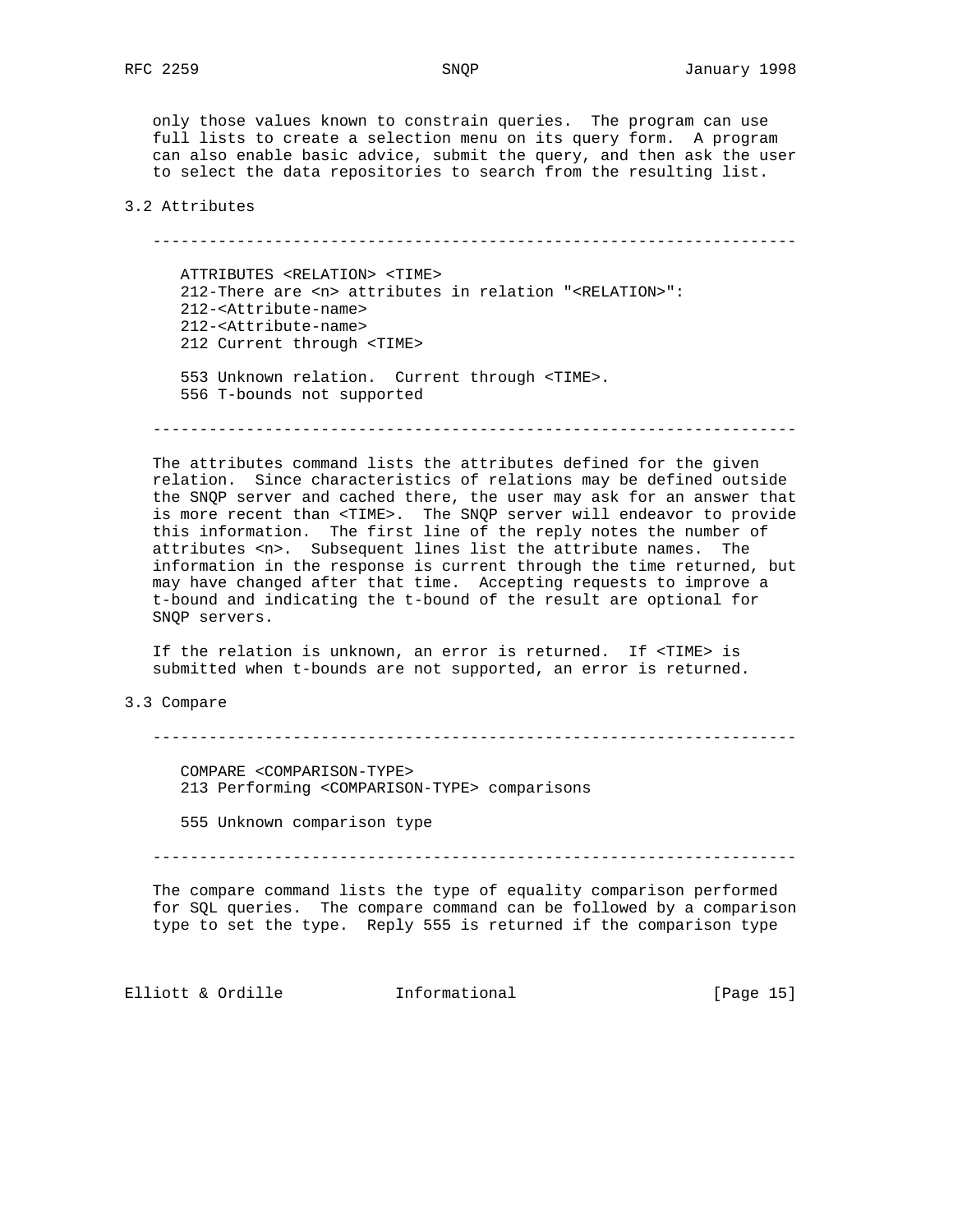only those values known to constrain queries. The program can use full lists to create a selection menu on its query form. A program can also enable basic advice, submit the query, and then ask the user to select the data repositories to search from the resulting list.

### 3.2 Attributes

---------------------------------------------------------------------

 ATTRIBUTES <RELATION> <TIME> 212-There are <n> attributes in relation "<RELATION>": 212-<Attribute-name> 212-<Attribute-name> 212 Current through <TIME> 553 Unknown relation. Current through <TIME>.

556 T-bounds not supported

---------------------------------------------------------------------

 The attributes command lists the attributes defined for the given relation. Since characteristics of relations may be defined outside the SNQP server and cached there, the user may ask for an answer that is more recent than <TIME>. The SNQP server will endeavor to provide this information. The first line of the reply notes the number of attributes <n>. Subsequent lines list the attribute names. The information in the response is current through the time returned, but may have changed after that time. Accepting requests to improve a t-bound and indicating the t-bound of the result are optional for SNQP servers.

 If the relation is unknown, an error is returned. If <TIME> is submitted when t-bounds are not supported, an error is returned.

## 3.3 Compare

---------------------------------------------------------------------

 COMPARE <COMPARISON-TYPE> 213 Performing <COMPARISON-TYPE> comparisons

555 Unknown comparison type

---------------------------------------------------------------------

 The compare command lists the type of equality comparison performed for SQL queries. The compare command can be followed by a comparison type to set the type. Reply 555 is returned if the comparison type

Elliott & Ordille **Informational** [Page 15]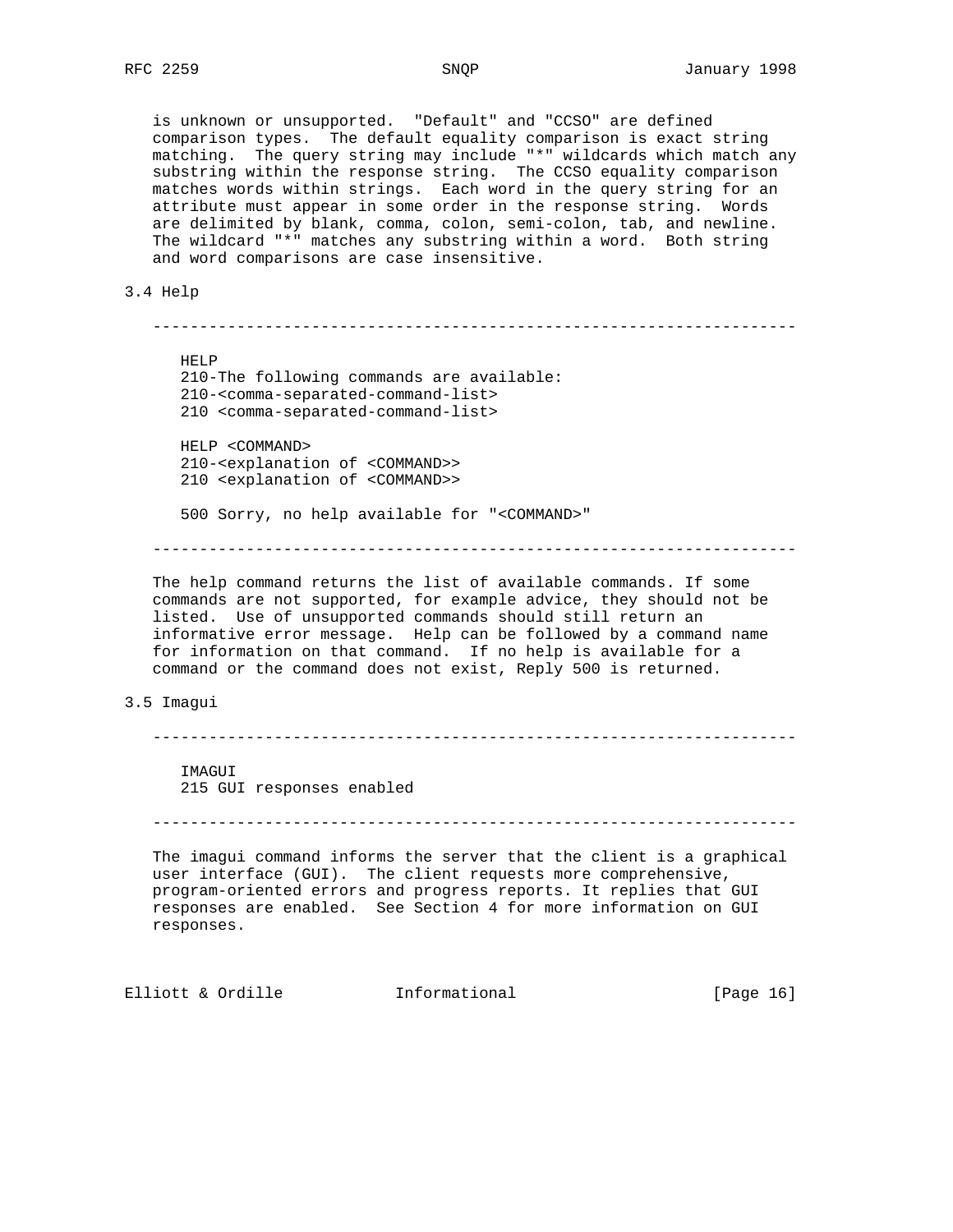is unknown or unsupported. "Default" and "CCSO" are defined comparison types. The default equality comparison is exact string matching. The query string may include "\*" wildcards which match any substring within the response string. The CCSO equality comparison matches words within strings. Each word in the query string for an attribute must appear in some order in the response string. Words are delimited by blank, comma, colon, semi-colon, tab, and newline. The wildcard "\*" matches any substring within a word. Both string and word comparisons are case insensitive.

#### 3.4 Help

 --------------------------------------------------------------------- HELP 210-The following commands are available: 210-<comma-separated-command-list> 210 <comma-separated-command-list> HELP <COMMAND> 210-<explanation of <COMMAND>> 210 <explanation of <COMMAND>> 500 Sorry, no help available for "<COMMAND>" ---------------------------------------------------------------------

 The help command returns the list of available commands. If some commands are not supported, for example advice, they should not be listed. Use of unsupported commands should still return an informative error message. Help can be followed by a command name for information on that command. If no help is available for a command or the command does not exist, Reply 500 is returned.

### 3.5 Imagui

---------------------------------------------------------------------

 IMAGUI 215 GUI responses enabled

---------------------------------------------------------------------

 The imagui command informs the server that the client is a graphical user interface (GUI). The client requests more comprehensive, program-oriented errors and progress reports. It replies that GUI responses are enabled. See Section 4 for more information on GUI responses.

Elliott & Ordille **Informational** [Page 16]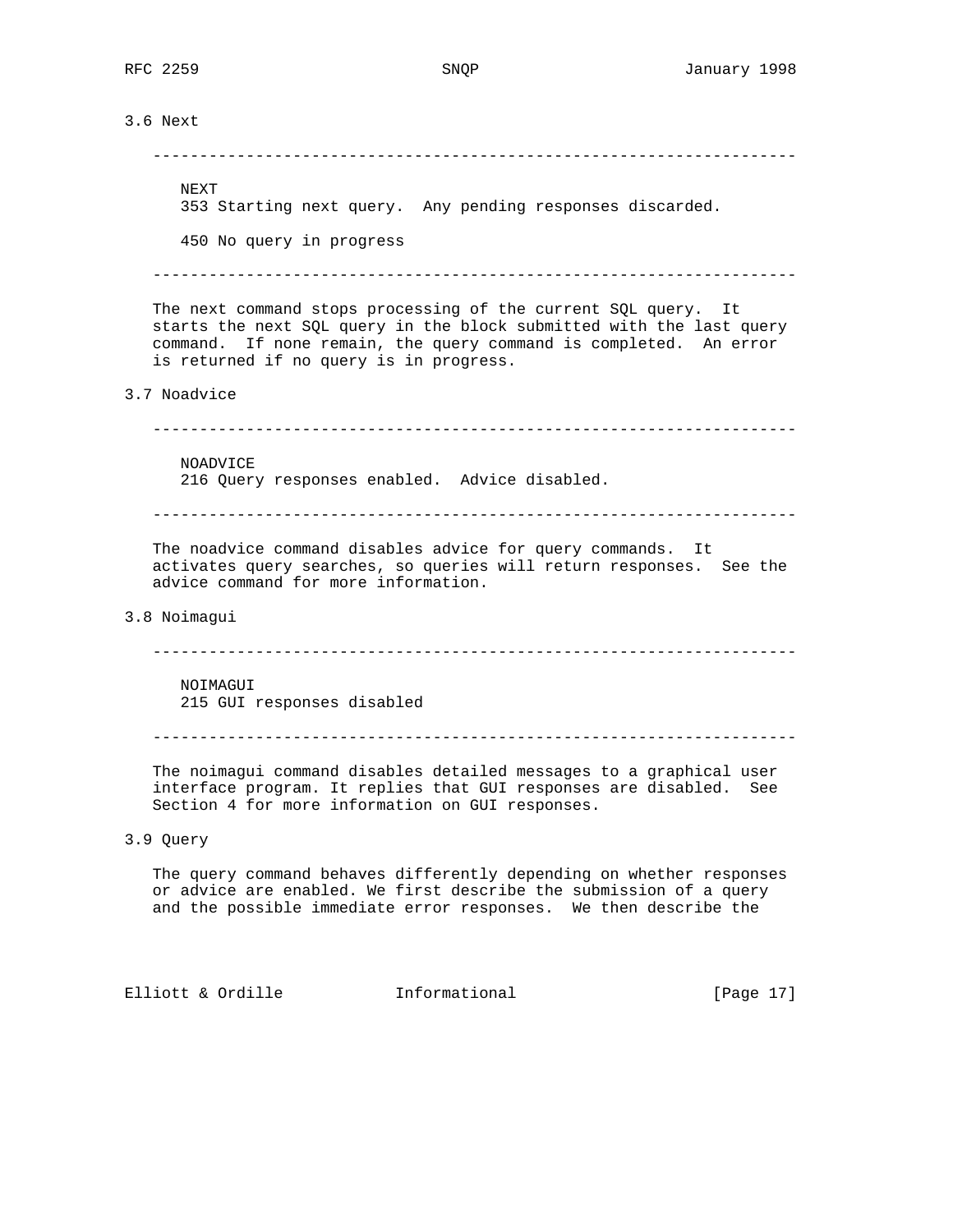3.6 Next --------------------------------------------------------------------- NEXT 353 Starting next query. Any pending responses discarded. 450 No query in progress --------------------------------------------------------------------- The next command stops processing of the current SQL query. It starts the next SQL query in the block submitted with the last query command. If none remain, the query command is completed. An error is returned if no query is in progress. 3.7 Noadvice --------------------------------------------------------------------- NOADVICE 216 Query responses enabled. Advice disabled. --------------------------------------------------------------------- The noadvice command disables advice for query commands. It activates query searches, so queries will return responses. See the advice command for more information. 3.8 Noimagui --------------------------------------------------------------------- NOIMAGUI 215 GUI responses disabled --------------------------------------------------------------------- The noimagui command disables detailed messages to a graphical user interface program. It replies that GUI responses are disabled. See Section 4 for more information on GUI responses. 3.9 Query The query command behaves differently depending on whether responses or advice are enabled. We first describe the submission of a query and the possible immediate error responses. We then describe the Elliott & Ordille **Informational** [Page 17]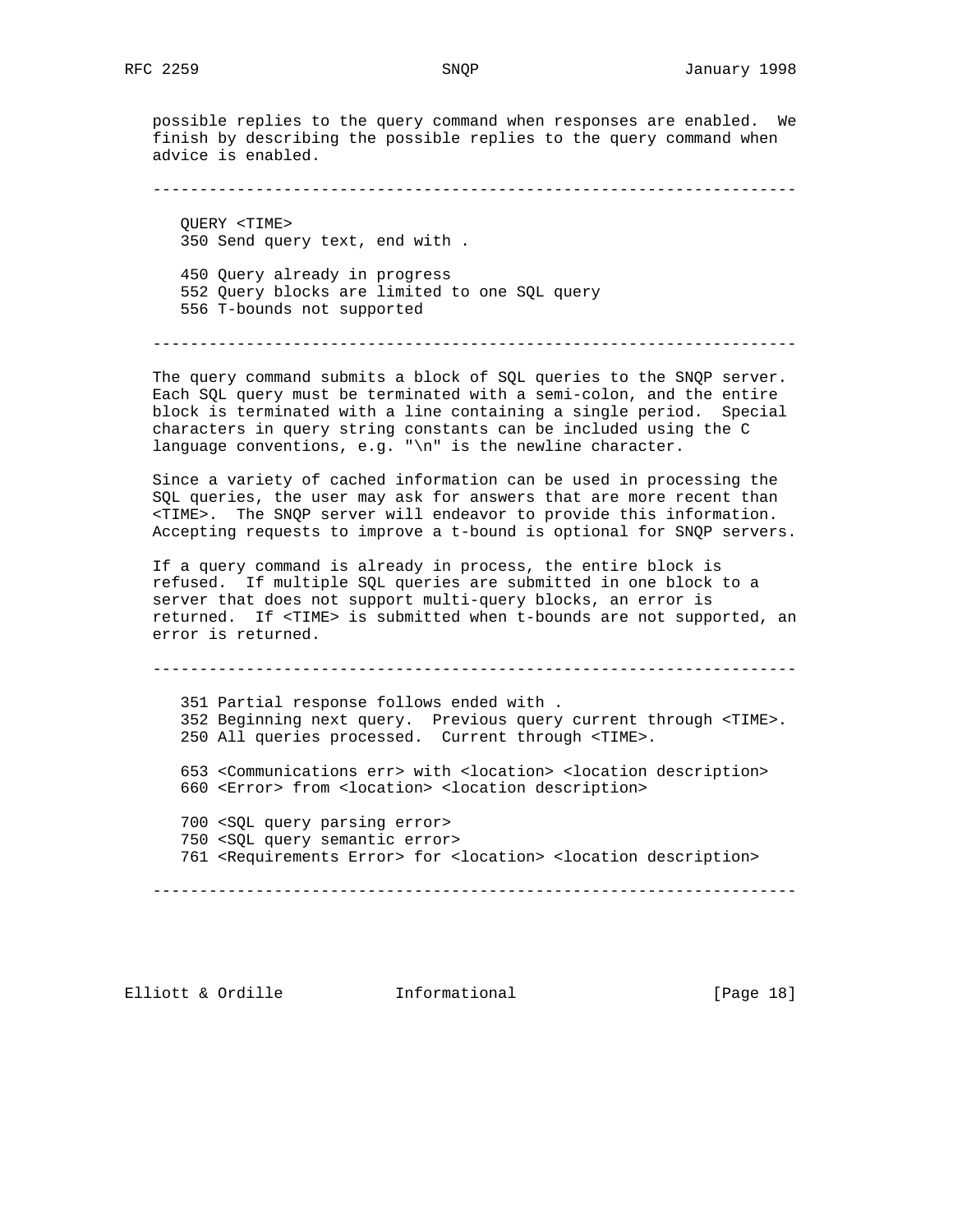possible replies to the query command when responses are enabled. We finish by describing the possible replies to the query command when advice is enabled.

---------------------------------------------------------------------

 QUERY <TIME> 350 Send query text, end with . 450 Query already in progress 552 Query blocks are limited to one SQL query 556 T-bounds not supported

---------------------------------------------------------------------

 The query command submits a block of SQL queries to the SNQP server. Each SQL query must be terminated with a semi-colon, and the entire block is terminated with a line containing a single period. Special characters in query string constants can be included using the C language conventions, e.g. "\n" is the newline character.

 Since a variety of cached information can be used in processing the SQL queries, the user may ask for answers that are more recent than <TIME>. The SNQP server will endeavor to provide this information. Accepting requests to improve a t-bound is optional for SNQP servers.

 If a query command is already in process, the entire block is refused. If multiple SQL queries are submitted in one block to a server that does not support multi-query blocks, an error is returned. If <TIME> is submitted when t-bounds are not supported, an error is returned.

---------------------------------------------------------------------

 351 Partial response follows ended with . 352 Beginning next query. Previous query current through <TIME>. 250 All queries processed. Current through <TIME>. 653 <Communications err> with <location> <location description> 660 <Error> from <location> <location description> 700 <SQL query parsing error> 750 <SQL query semantic error> 761 <Requirements Error> for <location> <location description>

---------------------------------------------------------------------

Elliott & Ordille **Informational** [Page 18]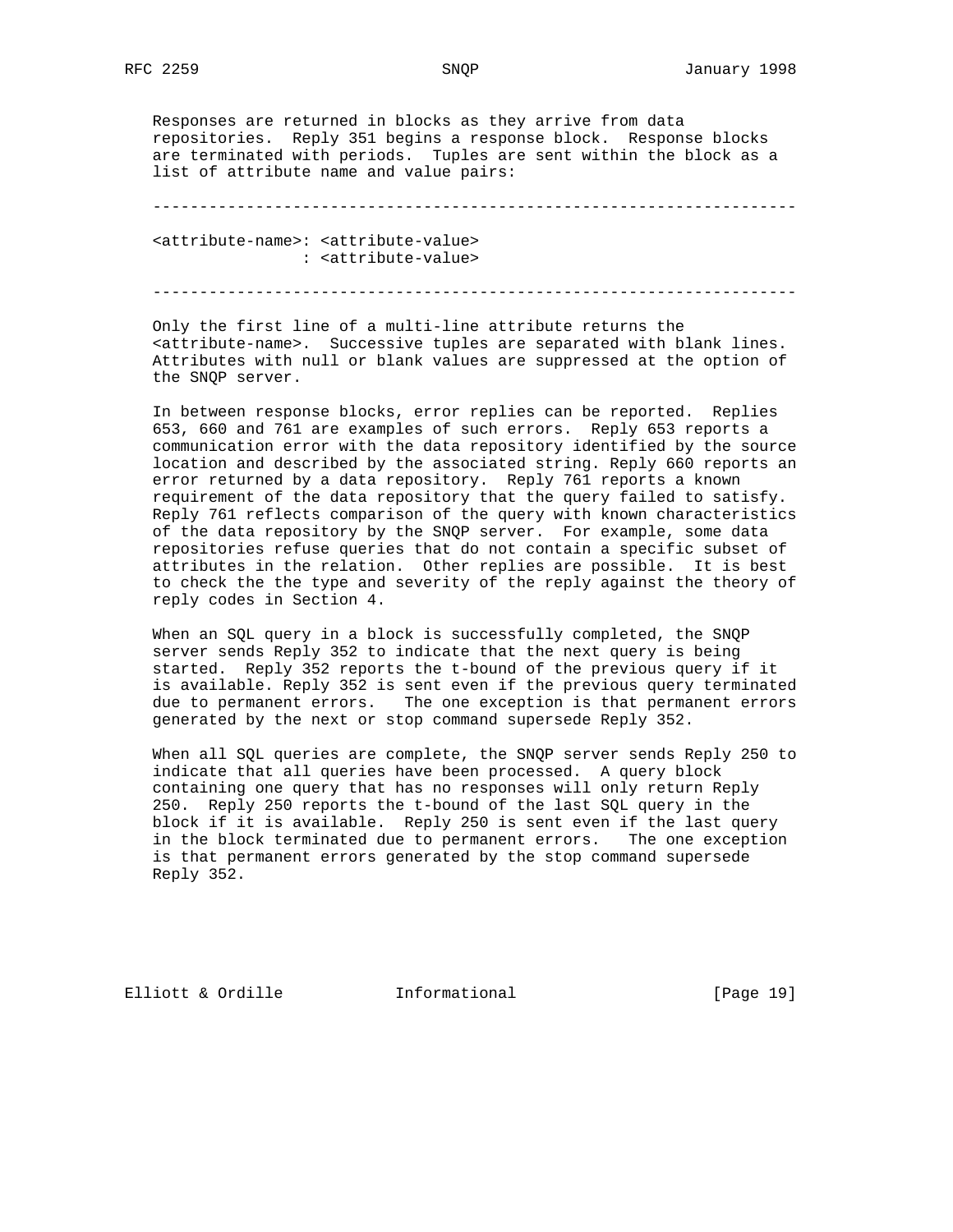Responses are returned in blocks as they arrive from data repositories. Reply 351 begins a response block. Response blocks are terminated with periods. Tuples are sent within the block as a list of attribute name and value pairs:

---------------------------------------------------------------------

 <attribute-name>: <attribute-value> : <attribute-value>

---------------------------------------------------------------------

 Only the first line of a multi-line attribute returns the <attribute-name>. Successive tuples are separated with blank lines. Attributes with null or blank values are suppressed at the option of the SNQP server.

 In between response blocks, error replies can be reported. Replies 653, 660 and 761 are examples of such errors. Reply 653 reports a communication error with the data repository identified by the source location and described by the associated string. Reply 660 reports an error returned by a data repository. Reply 761 reports a known requirement of the data repository that the query failed to satisfy. Reply 761 reflects comparison of the query with known characteristics of the data repository by the SNQP server. For example, some data repositories refuse queries that do not contain a specific subset of attributes in the relation. Other replies are possible. It is best to check the the type and severity of the reply against the theory of reply codes in Section 4.

When an SQL query in a block is successfully completed, the SNQP server sends Reply 352 to indicate that the next query is being started. Reply 352 reports the t-bound of the previous query if it is available. Reply 352 is sent even if the previous query terminated due to permanent errors. The one exception is that permanent errors generated by the next or stop command supersede Reply 352.

 When all SQL queries are complete, the SNQP server sends Reply 250 to indicate that all queries have been processed. A query block containing one query that has no responses will only return Reply 250. Reply 250 reports the t-bound of the last SQL query in the block if it is available. Reply 250 is sent even if the last query in the block terminated due to permanent errors. The one exception is that permanent errors generated by the stop command supersede Reply 352.

Elliott & Ordille **Informational** [Page 19]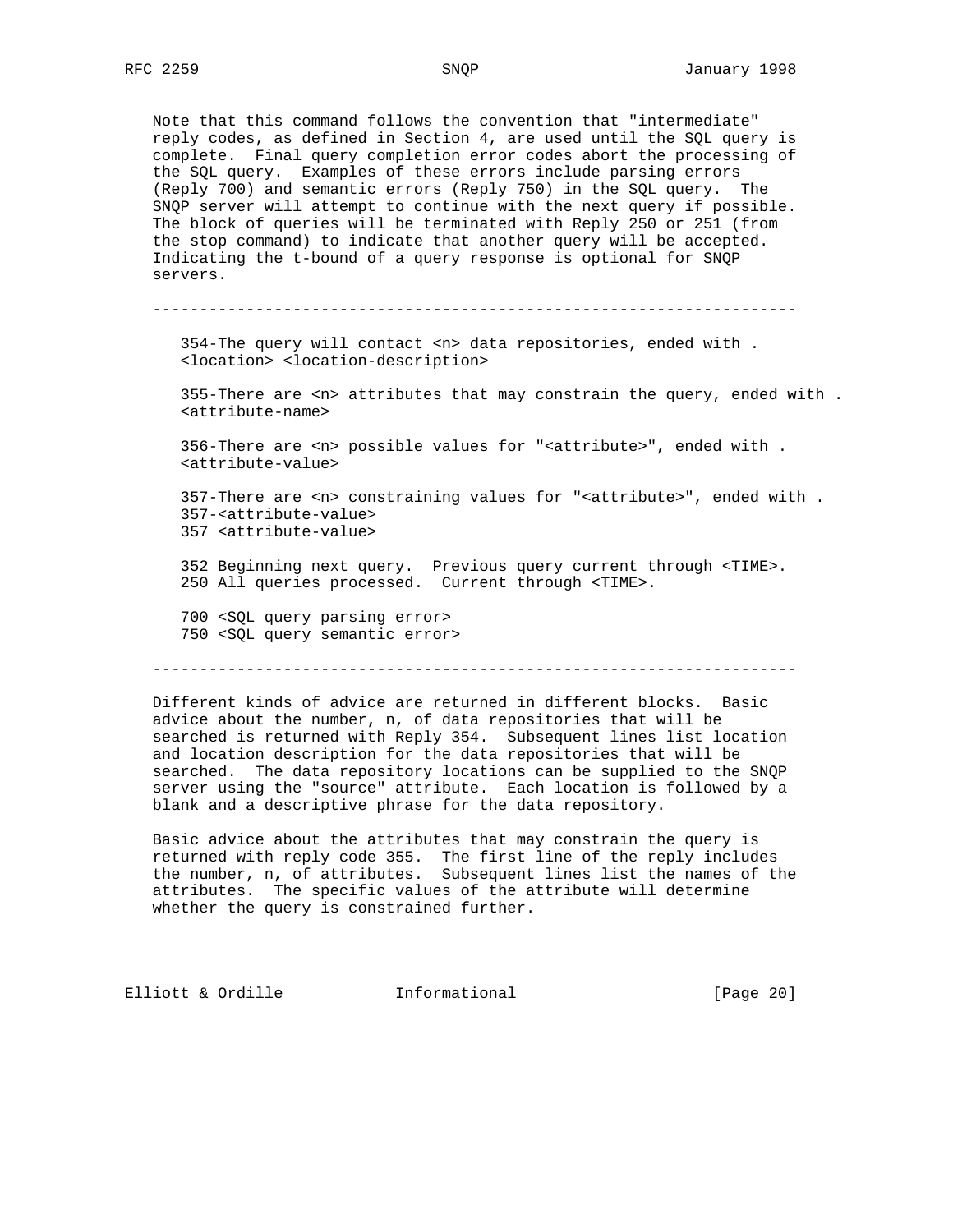Note that this command follows the convention that "intermediate" reply codes, as defined in Section 4, are used until the SQL query is complete. Final query completion error codes abort the processing of the SQL query. Examples of these errors include parsing errors (Reply 700) and semantic errors (Reply 750) in the SQL query. The SNQP server will attempt to continue with the next query if possible. The block of queries will be terminated with Reply 250 or 251 (from the stop command) to indicate that another query will be accepted. Indicating the t-bound of a query response is optional for SNQP servers.

---------------------------------------------------------------------

 354-The query will contact <n> data repositories, ended with . <location> <location-description>

 355-There are <n> attributes that may constrain the query, ended with . <attribute-name>

 356-There are <n> possible values for "<attribute>", ended with . <attribute-value>

 357-There are <n> constraining values for "<attribute>", ended with . 357-<attribute-value> 357 <attribute-value>

 352 Beginning next query. Previous query current through <TIME>. 250 All queries processed. Current through <TIME>.

 700 <SQL query parsing error> 750 <SQL query semantic error>

---------------------------------------------------------------------

 Different kinds of advice are returned in different blocks. Basic advice about the number, n, of data repositories that will be searched is returned with Reply 354. Subsequent lines list location and location description for the data repositories that will be searched. The data repository locations can be supplied to the SNQP server using the "source" attribute. Each location is followed by a blank and a descriptive phrase for the data repository.

 Basic advice about the attributes that may constrain the query is returned with reply code 355. The first line of the reply includes the number, n, of attributes. Subsequent lines list the names of the attributes. The specific values of the attribute will determine whether the query is constrained further.

Elliott & Ordille **Informational** [Page 20]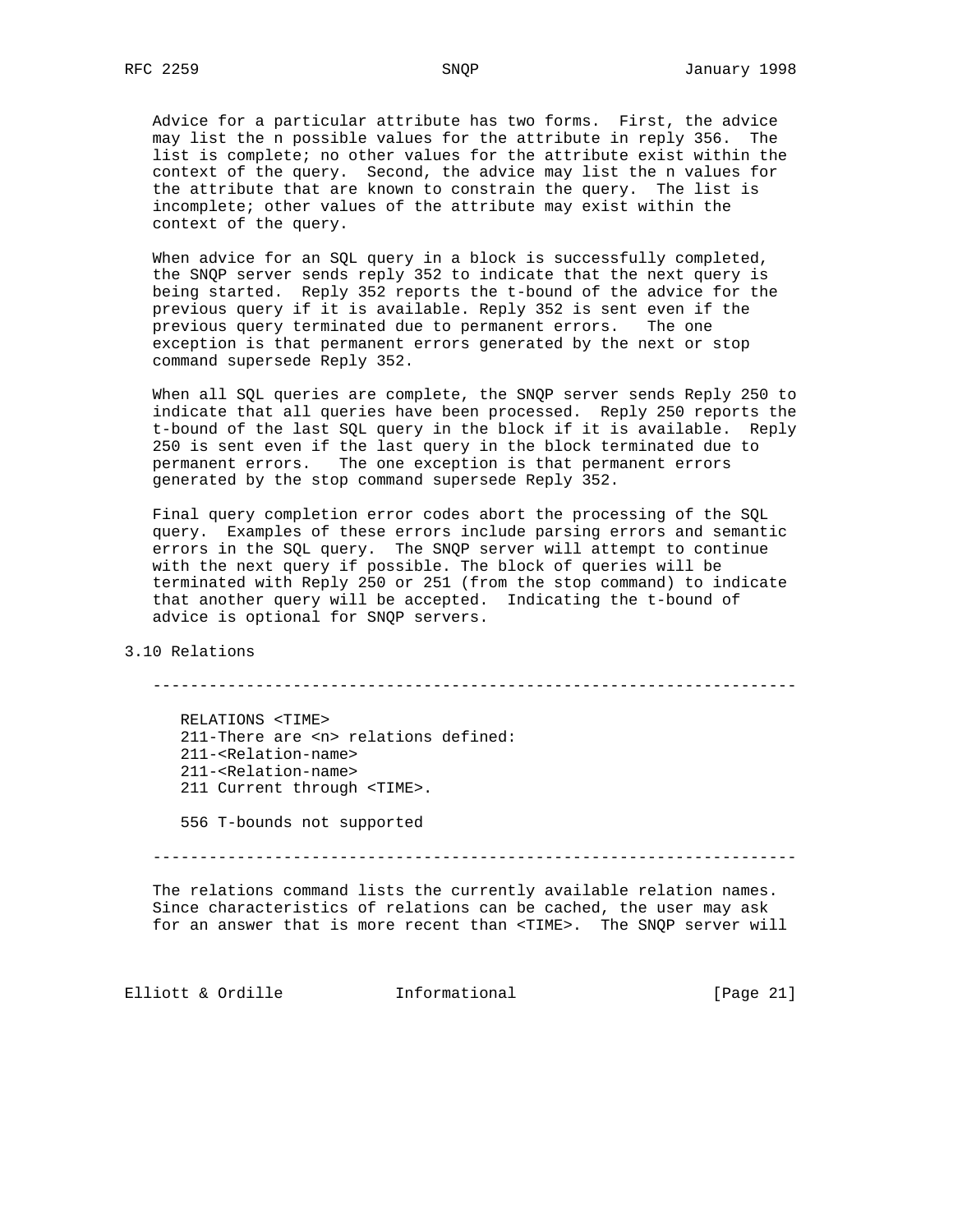Advice for a particular attribute has two forms. First, the advice may list the n possible values for the attribute in reply 356. The list is complete; no other values for the attribute exist within the context of the query. Second, the advice may list the n values for the attribute that are known to constrain the query. The list is incomplete; other values of the attribute may exist within the context of the query.

 When advice for an SQL query in a block is successfully completed, the SNQP server sends reply 352 to indicate that the next query is being started. Reply 352 reports the t-bound of the advice for the previous query if it is available. Reply 352 is sent even if the previous query terminated due to permanent errors. The one exception is that permanent errors generated by the next or stop command supersede Reply 352.

 When all SQL queries are complete, the SNQP server sends Reply 250 to indicate that all queries have been processed. Reply 250 reports the t-bound of the last SQL query in the block if it is available. Reply 250 is sent even if the last query in the block terminated due to permanent errors. The one exception is that permanent errors generated by the stop command supersede Reply 352.

 Final query completion error codes abort the processing of the SQL query. Examples of these errors include parsing errors and semantic errors in the SQL query. The SNQP server will attempt to continue with the next query if possible. The block of queries will be terminated with Reply 250 or 251 (from the stop command) to indicate that another query will be accepted. Indicating the t-bound of advice is optional for SNQP servers.

3.10 Relations

---------------------------------------------------------------------

 RELATIONS <TIME> 211-There are <n> relations defined: 211-<Relation-name> 211-<Relation-name> 211 Current through <TIME>.

556 T-bounds not supported

---------------------------------------------------------------------

 The relations command lists the currently available relation names. Since characteristics of relations can be cached, the user may ask for an answer that is more recent than <TIME>. The SNQP server will

Elliott & Ordille **Informational** [Page 21]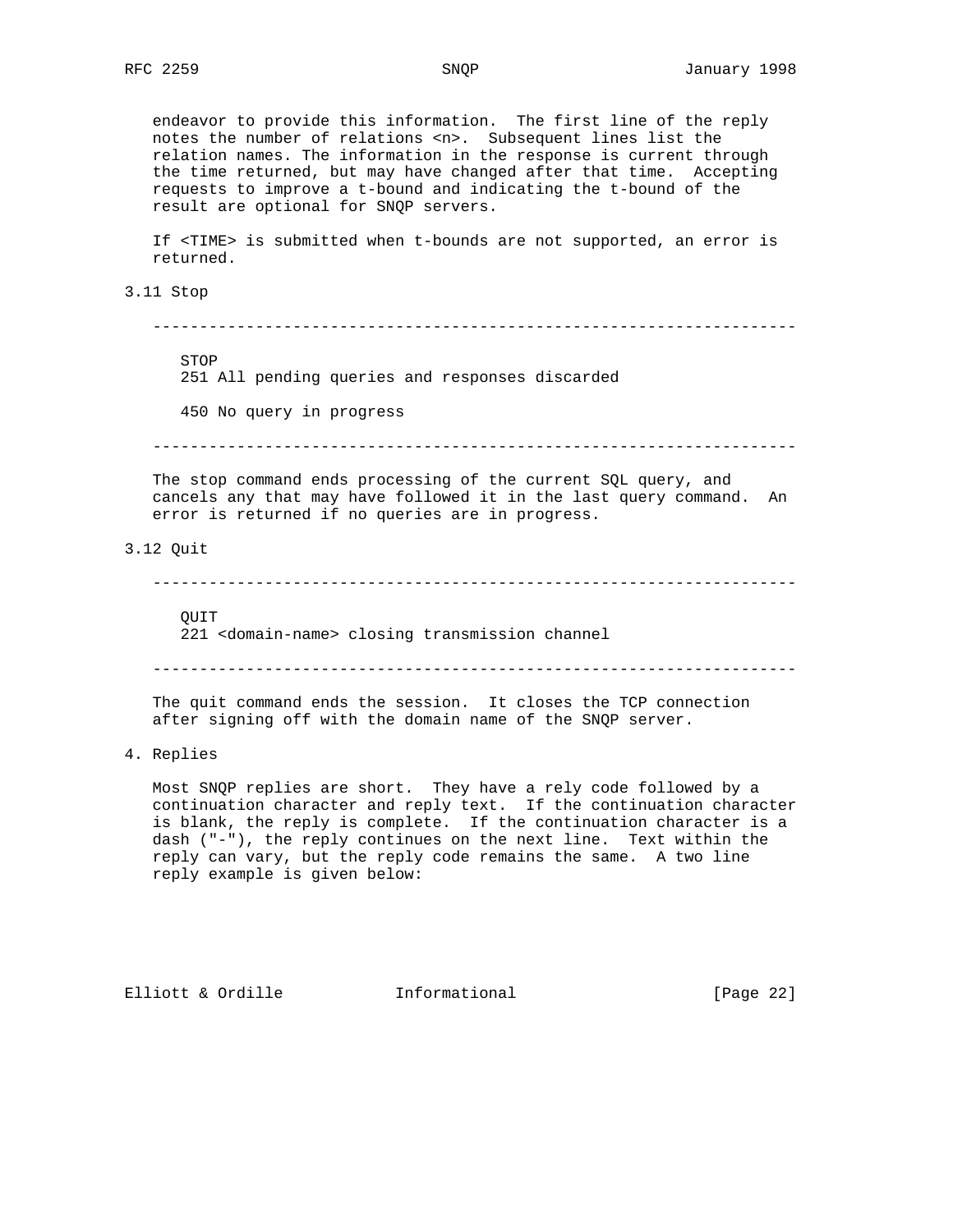endeavor to provide this information. The first line of the reply notes the number of relations <n>. Subsequent lines list the relation names. The information in the response is current through the time returned, but may have changed after that time. Accepting requests to improve a t-bound and indicating the t-bound of the result are optional for SNQP servers. If <TIME> is submitted when t-bounds are not supported, an error is returned. 3.11 Stop --------------------------------------------------------------------- STOP 251 All pending queries and responses discarded 450 No query in progress --------------------------------------------------------------------- The stop command ends processing of the current SQL query, and cancels any that may have followed it in the last query command. An error is returned if no queries are in progress. 3.12 Quit --------------------------------------------------------------------- **OUTT**  221 <domain-name> closing transmission channel --------------------------------------------------------------------- The quit command ends the session. It closes the TCP connection after signing off with the domain name of the SNQP server.

4. Replies

 Most SNQP replies are short. They have a rely code followed by a continuation character and reply text. If the continuation character is blank, the reply is complete. If the continuation character is a dash ("-"), the reply continues on the next line. Text within the reply can vary, but the reply code remains the same. A two line reply example is given below:

Elliott & Ordille **Informational** [Page 22]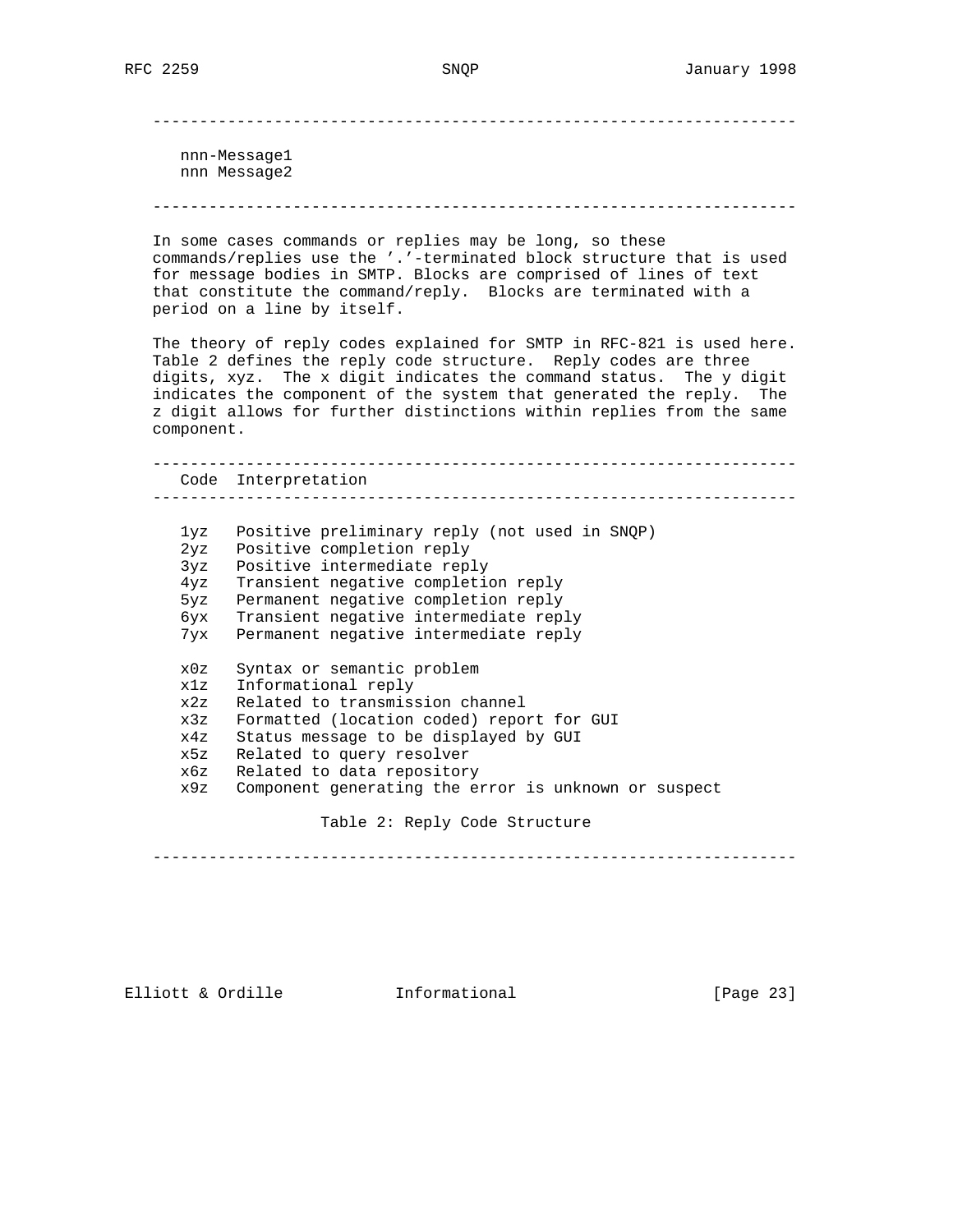---------------------------------------------------------------------

 nnn-Message1 nnn Message2

---------------------------------------------------------------------

 In some cases commands or replies may be long, so these commands/replies use the '.'-terminated block structure that is used for message bodies in SMTP. Blocks are comprised of lines of text that constitute the command/reply. Blocks are terminated with a period on a line by itself.

 The theory of reply codes explained for SMTP in RFC-821 is used here. Table 2 defines the reply code structure. Reply codes are three digits, xyz. The x digit indicates the command status. The y digit indicates the component of the system that generated the reply. The z digit allows for further distinctions within replies from the same component.

 --------------------------------------------------------------------- Code Interpretation --------------------------------------------------------------------- 1yz Positive preliminary reply (not used in SNQP) 2yz Positive completion reply 3yz Positive intermediate reply 4yz Transient negative completion reply 5yz Permanent negative completion reply 6yx Transient negative intermediate reply 7yx Permanent negative intermediate reply x0z Syntax or semantic problem x1z Informational reply x2z Related to transmission channel x3z Formatted (location coded) report for GUI x4z Status message to be displayed by GUI x5z Related to query resolver x6z Related to data repository x9z Component generating the error is unknown or suspect

Table 2: Reply Code Structure

---------------------------------------------------------------------

Elliott & Ordille **Informational** [Page 23]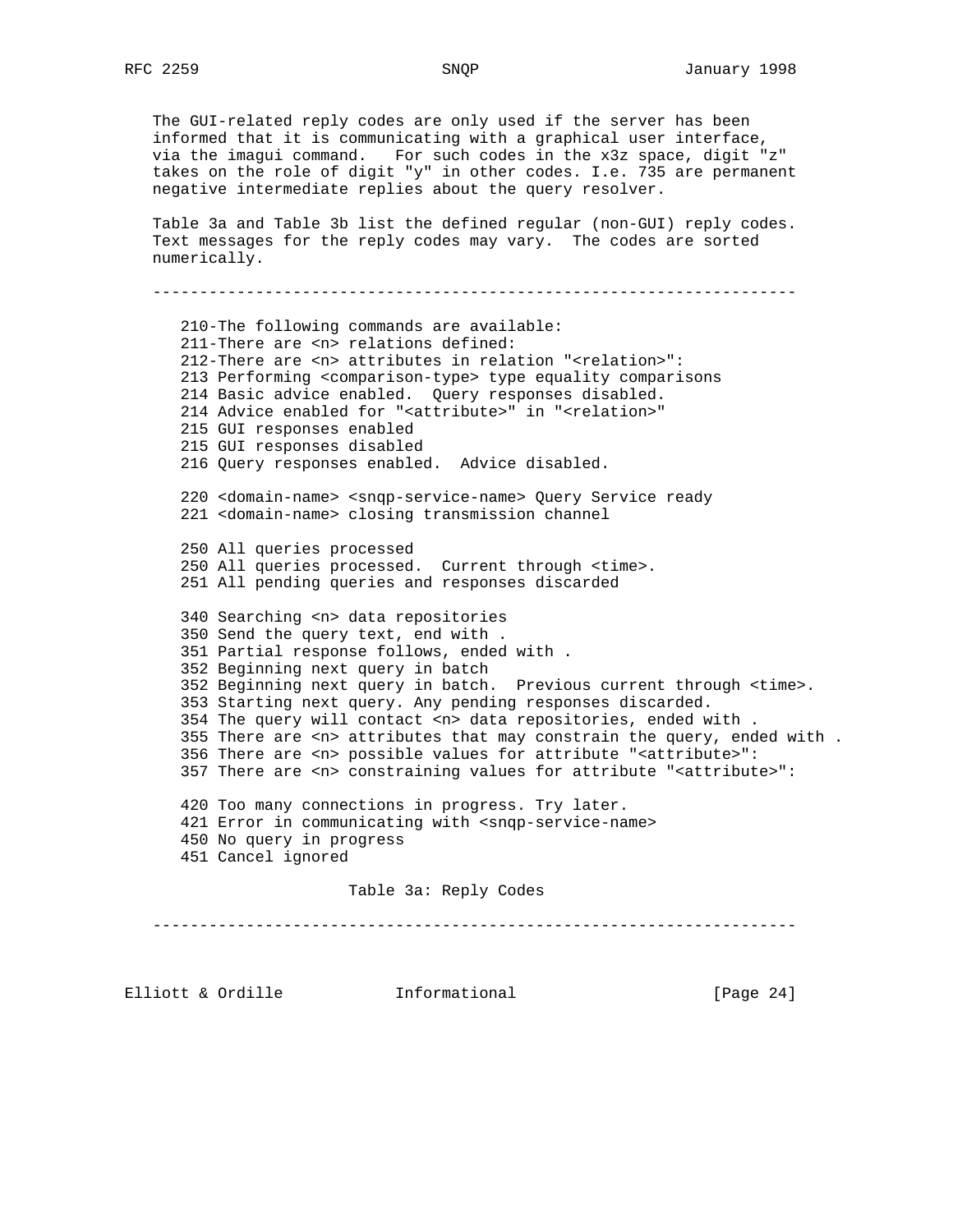The GUI-related reply codes are only used if the server has been informed that it is communicating with a graphical user interface, via the imagui command. For such codes in the x3z space, digit "z" takes on the role of digit "y" in other codes. I.e. 735 are permanent negative intermediate replies about the query resolver. Table 3a and Table 3b list the defined regular (non-GUI) reply codes. Text messages for the reply codes may vary. The codes are sorted numerically. --------------------------------------------------------------------- 210-The following commands are available: 211-There are <n> relations defined: 212-There are <n> attributes in relation "<relation>": 213 Performing <comparison-type> type equality comparisons 214 Basic advice enabled. Query responses disabled. 214 Advice enabled for "<attribute>" in "<relation>" 215 GUI responses enabled 215 GUI responses disabled 216 Query responses enabled. Advice disabled. 220 <domain-name> <snqp-service-name> Query Service ready 221 <domain-name> closing transmission channel 250 All queries processed 250 All queries processed. Current through <time>. 251 All pending queries and responses discarded 340 Searching <n> data repositories 350 Send the query text, end with . 351 Partial response follows, ended with . 352 Beginning next query in batch 352 Beginning next query in batch. Previous current through <time>. 353 Starting next query. Any pending responses discarded. 354 The query will contact <n> data repositories, ended with . 355 There are <n> attributes that may constrain the query, ended with . 356 There are <n> possible values for attribute "<attribute>": 357 There are <n> constraining values for attribute "<attribute>": 420 Too many connections in progress. Try later. 421 Error in communicating with <snqp-service-name> 450 No query in progress 451 Cancel ignored Table 3a: Reply Codes ---------------------------------------------------------------------

Elliott & Ordille **Informational** [Page 24]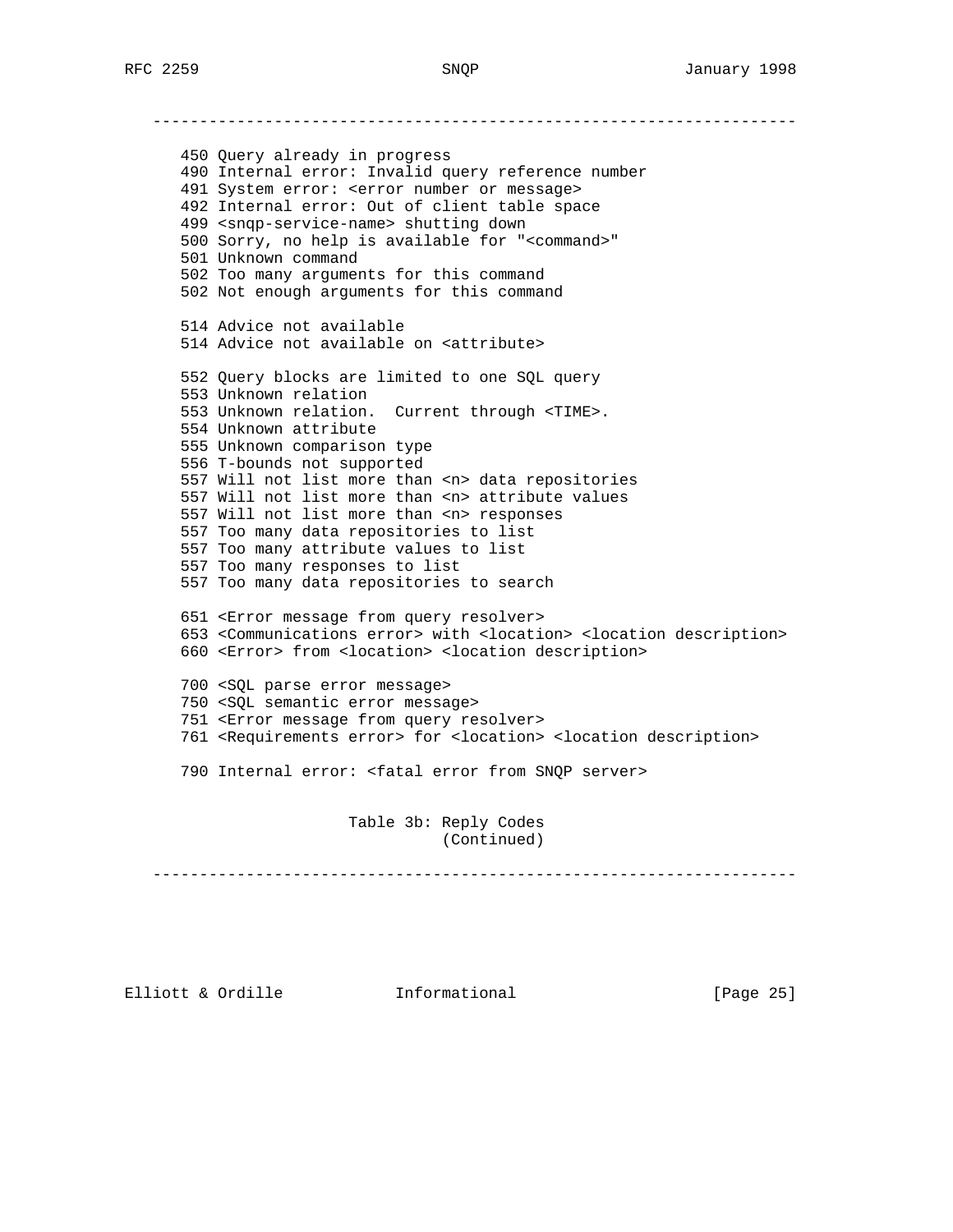--------------------------------------------------------------------- 450 Query already in progress 490 Internal error: Invalid query reference number 491 System error: <error number or message> 492 Internal error: Out of client table space 499 <snqp-service-name> shutting down 500 Sorry, no help is available for "<command>" 501 Unknown command 502 Too many arguments for this command 502 Not enough arguments for this command 514 Advice not available 514 Advice not available on <attribute> 552 Query blocks are limited to one SQL query 553 Unknown relation 553 Unknown relation. Current through <TIME>. 554 Unknown attribute 555 Unknown comparison type 556 T-bounds not supported 557 Will not list more than <n> data repositories 557 Will not list more than <n> attribute values 557 Will not list more than <n> responses 557 Too many data repositories to list 557 Too many attribute values to list 557 Too many responses to list 557 Too many data repositories to search 651 <Error message from query resolver> 653 <Communications error> with <location> <location description> 660 <Error> from <location> <location description> 700 <SQL parse error message> 750 <SQL semantic error message> 751 <Error message from query resolver> 761 <Requirements error> for <location> <location description> 790 Internal error: <fatal error from SNQP server> Table 3b: Reply Codes (Continued)

---------------------------------------------------------------------

Elliott & Ordille **Informational** [Page 25]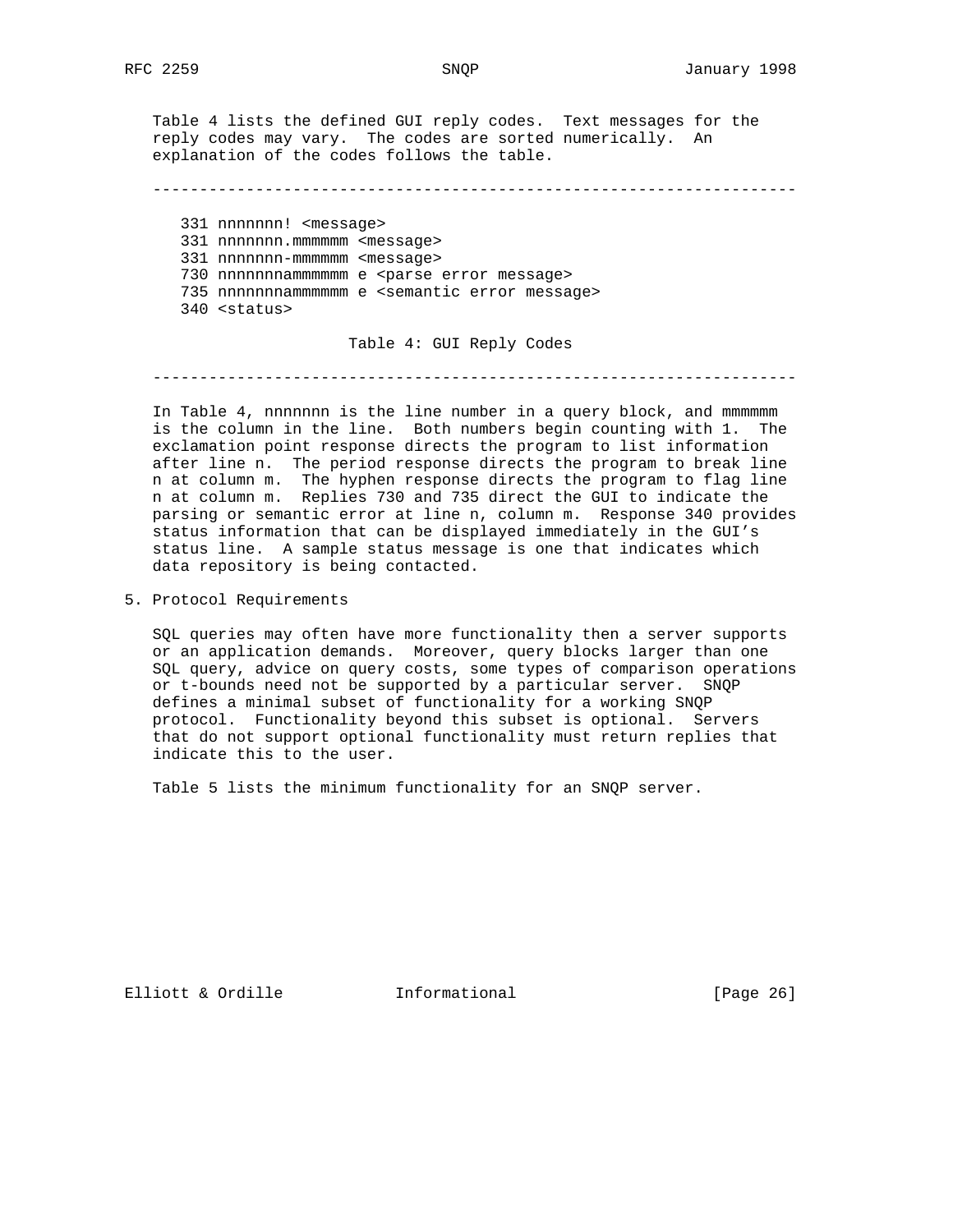Table 4 lists the defined GUI reply codes. Text messages for the reply codes may vary. The codes are sorted numerically. An explanation of the codes follows the table.

---------------------------------------------------------------------

 331 nnnnnnn! <message> 331 nnnnnnn.mmmmmm <message> 331 nnnnnnn-mmmmmm <message> 730 nnnnnnnammmmmm e <parse error message> 735 nnnnnnnammmmmm e <semantic error message> 340 <status>

Table 4: GUI Reply Codes

---------------------------------------------------------------------

 In Table 4, nnnnnnn is the line number in a query block, and mmmmmm is the column in the line. Both numbers begin counting with 1. The exclamation point response directs the program to list information after line n. The period response directs the program to break line n at column m. The hyphen response directs the program to flag line n at column m. Replies 730 and 735 direct the GUI to indicate the parsing or semantic error at line n, column m. Response 340 provides status information that can be displayed immediately in the GUI's status line. A sample status message is one that indicates which data repository is being contacted.

5. Protocol Requirements

 SQL queries may often have more functionality then a server supports or an application demands. Moreover, query blocks larger than one SQL query, advice on query costs, some types of comparison operations or t-bounds need not be supported by a particular server. SNQP defines a minimal subset of functionality for a working SNQP protocol. Functionality beyond this subset is optional. Servers that do not support optional functionality must return replies that indicate this to the user.

Table 5 lists the minimum functionality for an SNQP server.

Elliott & Ordille **Informational** [Page 26]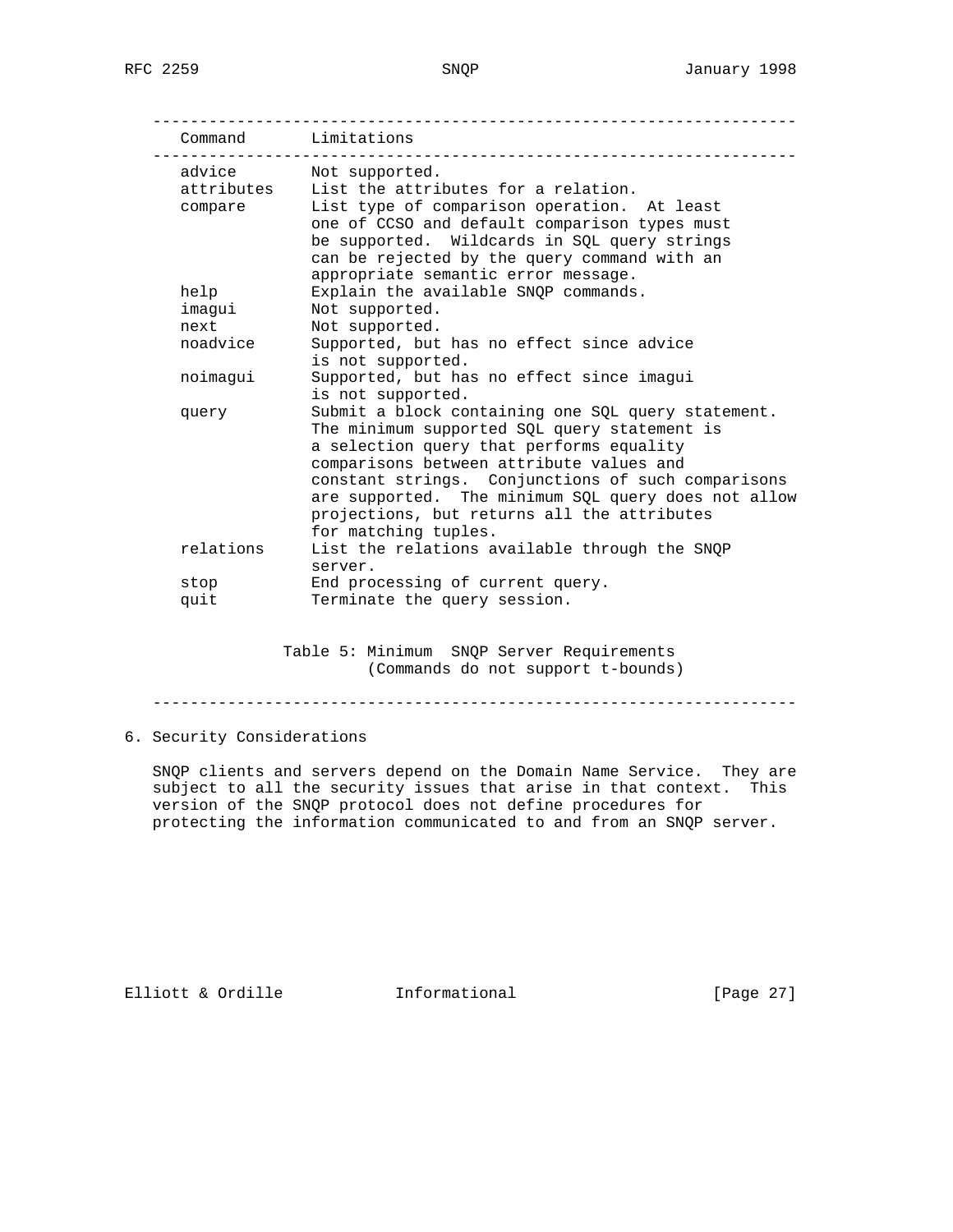|            | Command Limitations                                                                  |
|------------|--------------------------------------------------------------------------------------|
| advice     | Not supported.                                                                       |
| attributes | List the attributes for a relation.                                                  |
| compare    | List type of comparison operation. At least                                          |
|            | one of CCSO and default comparison types must                                        |
|            | be supported. Wildcards in SQL query strings                                         |
|            | can be rejected by the query command with an<br>appropriate semantic error message.  |
| help       | Explain the available SNOP commands.                                                 |
| imagui     | Not supported.                                                                       |
| next       | Not supported.                                                                       |
| noadvice   | Supported, but has no effect since advice                                            |
|            | is not supported.                                                                    |
| noimaqui   | Supported, but has no effect since imagui                                            |
|            | is not supported.                                                                    |
| query      | Submit a block containing one SQL query statement.                                   |
|            | The minimum supported SQL query statement is                                         |
|            | a selection query that performs equality<br>comparisons between attribute values and |
|            | constant strings. Conjunctions of such comparisons                                   |
|            | are supported. The minimum SQL query does not allow                                  |
|            | projections, but returns all the attributes                                          |
|            | for matching tuples.                                                                 |
| relations  | List the relations available through the SNQP                                        |
|            | server.                                                                              |
| stop       | End processing of current query.                                                     |
| quit       | Terminate the query session.                                                         |

 Table 5: Minimum SNQP Server Requirements (Commands do not support t-bounds)

---------------------------------------------------------------------

# 6. Security Considerations

 SNQP clients and servers depend on the Domain Name Service. They are subject to all the security issues that arise in that context. This version of the SNQP protocol does not define procedures for protecting the information communicated to and from an SNQP server.

Elliott & Ordille **Informational** [Page 27]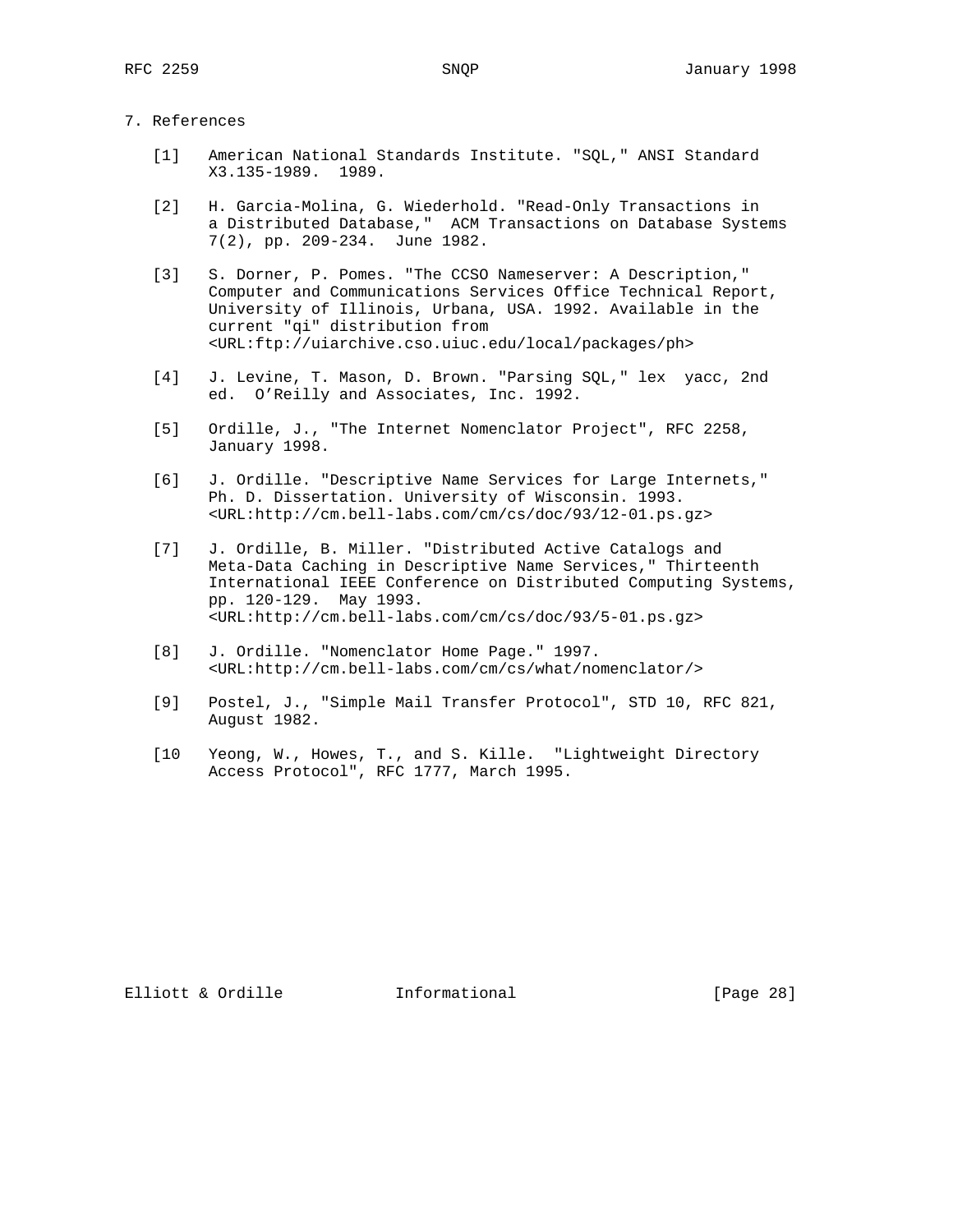### 7. References

- [1] American National Standards Institute. "SQL," ANSI Standard X3.135-1989. 1989.
- [2] H. Garcia-Molina, G. Wiederhold. "Read-Only Transactions in a Distributed Database," ACM Transactions on Database Systems 7(2), pp. 209-234. June 1982.
- [3] S. Dorner, P. Pomes. "The CCSO Nameserver: A Description," Computer and Communications Services Office Technical Report, University of Illinois, Urbana, USA. 1992. Available in the current "qi" distribution from <URL:ftp://uiarchive.cso.uiuc.edu/local/packages/ph>
- [4] J. Levine, T. Mason, D. Brown. "Parsing SQL," lex yacc, 2nd ed. O'Reilly and Associates, Inc. 1992.
- [5] Ordille, J., "The Internet Nomenclator Project", RFC 2258, January 1998.
- [6] J. Ordille. "Descriptive Name Services for Large Internets," Ph. D. Dissertation. University of Wisconsin. 1993. <URL:http://cm.bell-labs.com/cm/cs/doc/93/12-01.ps.gz>
- [7] J. Ordille, B. Miller. "Distributed Active Catalogs and Meta-Data Caching in Descriptive Name Services," Thirteenth International IEEE Conference on Distributed Computing Systems, pp. 120-129. May 1993. <URL:http://cm.bell-labs.com/cm/cs/doc/93/5-01.ps.gz>
- [8] J. Ordille. "Nomenclator Home Page." 1997. <URL:http://cm.bell-labs.com/cm/cs/what/nomenclator/>
- [9] Postel, J., "Simple Mail Transfer Protocol", STD 10, RFC 821, August 1982.
- [10 Yeong, W., Howes, T., and S. Kille. "Lightweight Directory Access Protocol", RFC 1777, March 1995.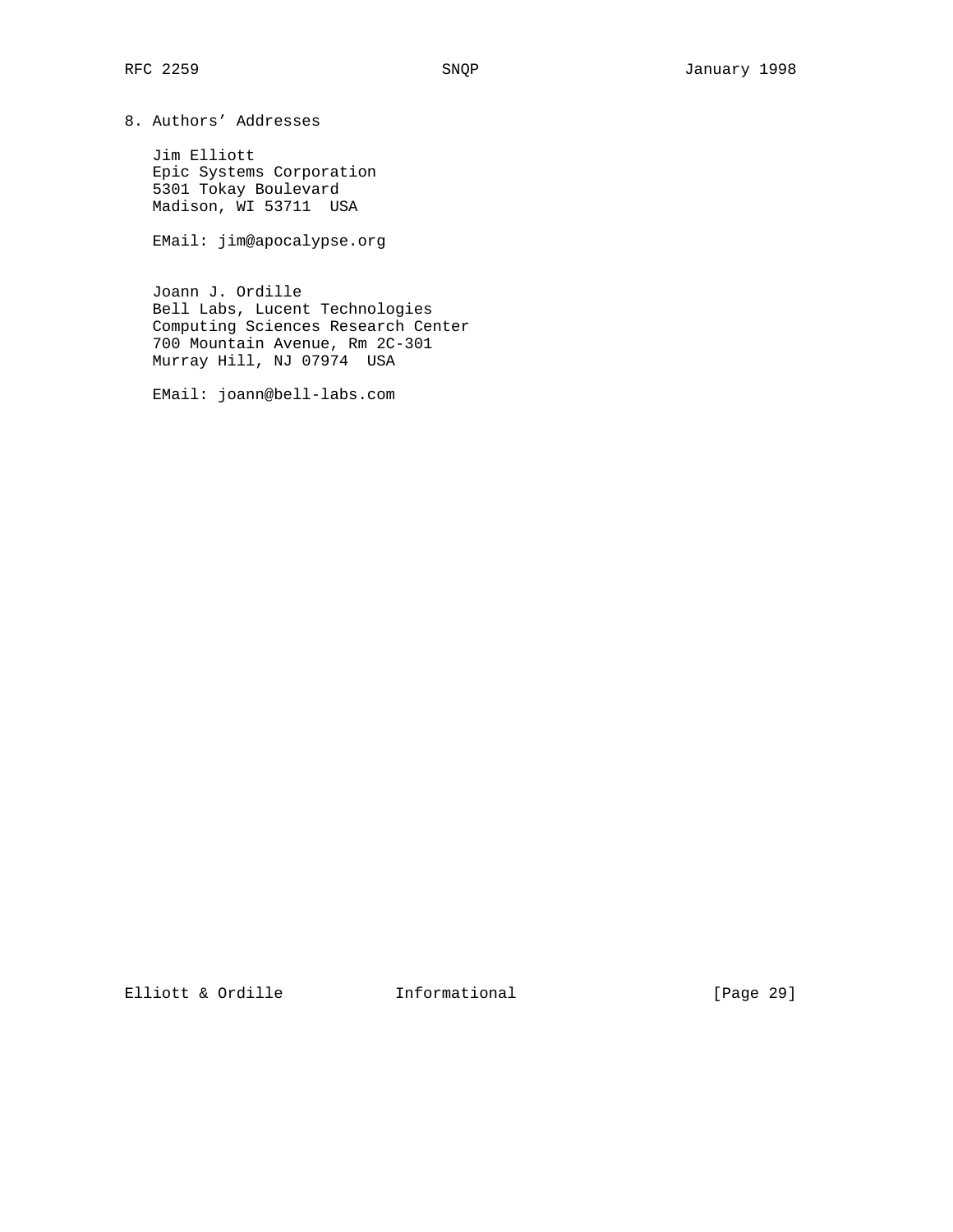8. Authors' Addresses

 Jim Elliott Epic Systems Corporation 5301 Tokay Boulevard Madison, WI 53711 USA

EMail: jim@apocalypse.org

 Joann J. Ordille Bell Labs, Lucent Technologies Computing Sciences Research Center 700 Mountain Avenue, Rm 2C-301 Murray Hill, NJ 07974 USA

EMail: joann@bell-labs.com

Elliott & Ordille **Informational** [Page 29]